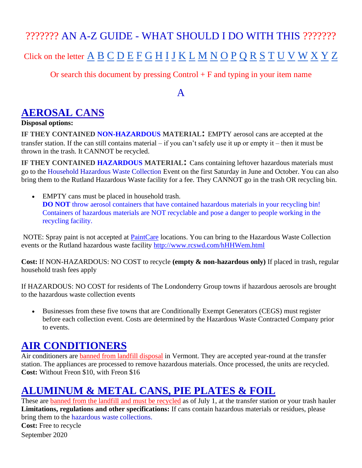# ??????? AN A-Z GUIDE - WHAT SHOULD I DO WITH THIS ??????? [C](#page-6-0)lick on the letter  $\underline{A}$  $\underline{A}$  $\underline{A}$   $\underline{B}$  $\underline{B}$  $\underline{B}$   $\underline{C}$   $\underline{D}$  $\underline{D}$  $\underline{D}$   $\underline{E}$  $\underline{E}$  $\underline{E}$   $\underline{F}$  $\underline{F}$  $\underline{F}$   $\underline{G}$  $\underline{G}$  $\underline{G}$   $\underline{H}$  $\underline{H}$  $\underline{H}$   $\underline{I}$  $\underline{I}$  $\underline{I}$   $\underline{J}$  $\underline{J}$  $\underline{J}$   $\underline{K}$  $\underline{K}$  $\underline{K}$   $\underline{L}$  $\underline{L}$  $\underline{L}$   $\underline{M}$  $\underline{M}$  $\underline{M}$   $\underline{N}$  $\underline{N}$  $\underline{N}$   $\underline{O}$  $\underline{O}$  $\underline{O}$   $\underline{P}$  $\underline{P}$  $\underline{P}$   $\underline{Q}$  $\underline{Q}$  $\underline{Q}$   $\underline{R}$  $\underline{R}$  $\underline{R}$   $\underline{S}$  $\underline{S}$  $\underline{S}$   $\underline{T}$  $\underline{T}$  $\underline{T}$   $\underline{U}$  $\underline{U}$  $\underline{U}$   $\underline{V}$  $\underline{V}$  $\underline{V}$   $\underline$

Or search this document by pressing  $Control + F$  and typing in your item name

#### A

## <span id="page-0-0"></span>**AEROSAL CANS**

#### **Disposal options:**

**IF THEY CONTAINED NON-HAZARDOUS MATERIAL:** EMPTY aerosol cans are accepted at the transfer station. If the can still contains material – if you can't safely use it up or empty it – then it must be thrown in the trash. It CANNOT be recycled.

**IF THEY CONTAINED HAZARDOUS MATERIAL:** Cans containing leftover hazardous materials must go to the Household Hazardous Waste Collection Event on the first Saturday in June and October. You can also bring them to the Rutland Hazardous Waste facility for a fee. They CANNOT go in the trash OR recycling bin.

• EMPTY cans must be placed in household trash. **DO NOT** throw aerosol containers that have contained hazardous materials in your recycling bin! Containers of hazardous materials are NOT recyclable and pose a danger to people working in the recycling facility.

NOTE: Spray paint is not accepted at **PaintCare** locations. You can bring to the Hazardous Waste Collection events or the Rutland hazardous waste facility<http://www.rcswd.com/hHHWem.html>

**Cost:** If NON-HAZARDOUS: NO COST to recycle **(empty & non-hazardous only)** If placed in trash, regular household trash fees apply

If HAZARDOUS: NO COST for residents of The Londonderry Group towns if hazardous aerosols are brought to the hazardous waste collection events

• Businesses from these five towns that are Conditionally Exempt Generators (CEGS) must register before each collection event. Costs are determined by the Hazardous Waste Contracted Company prior to events.

#### **AIR CONDITIONERS**

Air conditioners are **banned from landfill disposal** in Vermont. They are accepted year-round at the transfer station. The appliances are processed to remove hazardous materials. Once processed, the units are recycled. **Cost:** Without Freon \$10, with Freon \$16

## **ALUMINUM & METAL CANS, PIE PLATES & FOIL**

September 2020 These are **banned from the landfill and must be recycled** as of July 1, at the transfer station or your trash hauler Limitations, regulations and other specifications: If cans contain hazardous materials or residues, please bring them to the hazardous waste collections. **Cost:** Free to recycle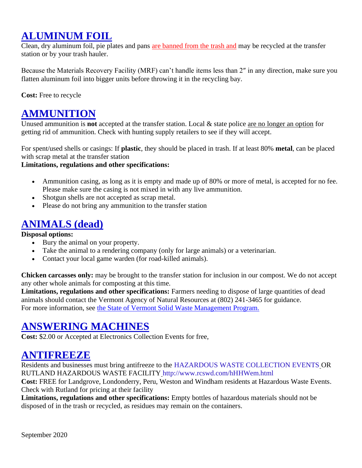## **ALUMINUM FOIL**

Clean, dry aluminum foil, pie plates and pans [are banned from the trash and](http://londonderryvt.org/site/wp-content/uploads/2013/11/LandfillBan-Poster-ps-800.jpg) may be recycled at the transfer station or by your trash hauler.

Because the Materials Recovery Facility (MRF) can't handle items less than 2″ in any direction, make sure you flatten aluminum foil into bigger units before throwing it in the recycling bay.

**Cost:** Free to recycle

### **AMMUNITION**

Unused ammunition is **not** accepted at the transfer station. Local & state police are no longer an option for getting rid of ammunition. Check with hunting supply retailers to see if they will accept.

For spent/used shells or casings: If **plastic**, they should be placed in trash. If at least 80% **metal**, can be placed with scrap metal at the transfer station

#### **Limitations, regulations and other specifications:**

- Ammunition casing, as long as it is empty and made up of 80% or more of metal, is accepted for no fee. Please make sure the casing is not mixed in with any live ammunition.
- Shotgun shells are not accepted as scrap metal.
- Please do not bring any ammunition to the transfer station

## **ANIMALS (dead)**

**Disposal options:**

- Bury the animal on your property.
- Take the animal to a rendering company (only for large animals) or a veterinarian.
- Contact your local game warden (for road-killed animals).

**Chicken carcasses only:** may be brought to the transfer station for inclusion in our compost. We do not accept any other whole animals for composting at this time.

**Limitations, regulations and other specifications:** Farmers needing to dispose of large quantities of dead animals should contact the Vermont Agency of Natural Resources at (802) 241-3465 for guidance. For more information, see [the State of Vermont Solid Waste Management Program.](http://www.anr.state.vt.us/dec/wastediv/solid/home.htm)

#### **ANSWERING MACHINES**

**Cost:** \$2.00 or Accepted at Electronics Collection Events for free,

#### **ANTIFREEZE**

Residents and businesses must bring antifreeze to the HAZARDOUS WASTE COLLECTION EVENTS OR RUTLAND HAZARDOUS WASTE FACILITY http://www.rcswd.com/hHHWem.html

**Cost:** FREE for Landgrove, Londonderry, Peru, Weston and Windham residents at Hazardous Waste Events. Check with Rutland for pricing at their facility

**Limitations, regulations and other specifications:** Empty bottles of hazardous materials should not be disposed of in the trash or recycled, as residues may remain on the containers.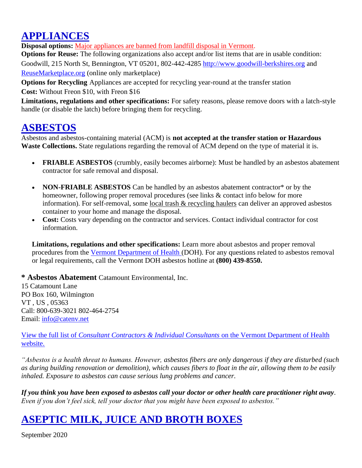# **APPLIANCES**

**Disposal options:** [Major appliances are banned from landfill disposal in Vermont.](http://londonderryvt.org/site/wp-content/uploads/2013/11/LandfillBan-Poster-ps-800.jpg)

**Options for Reuse:** The following organizations also accept and/or list items that are in usable condition: Goodwill, 215 North St, Bennington, VT 05201, 802-442-4285 [http://www.goodwill-berkshires.org](http://www.goodwill-berkshires.org/) and [ReuseMarketplace.org](http://www.reusemarketplace.org/) (online only marketplace)

**Options for Recycling** Appliances are accepted for recycling year-round at the transfer station **Cost:** Without Freon \$10, with Freon \$16

**Limitations, regulations and other specifications:** For safety reasons, please remove doors with a latch-style handle (or disable the latch) before bringing them for recycling.

#### **ASBESTOS**

Asbestos and asbestos-containing material (ACM) is **not accepted at the transfer station or Hazardous Waste Collections.** State regulations regarding the removal of ACM depend on the type of material it is.

- **FRIABLE ASBESTOS** (crumbly, easily becomes airborne): Must be handled by an asbestos abatement contractor for safe removal and disposal.
- **NON-FRIABLE ASBESTOS** Can be handled by an asbestos abatement contractor<sup>\*</sup> or by the homeowner, following proper removal procedures (see links & contact info below for more information). For self-removal, some [local trash & recycling haulers](http://cswd.net/trash/special-haulers/) can deliver an approved asbestos container to your home and manage the disposal.
- **Cost:** Costs vary depending on the contractor and services. Contact individual contractor for cost information.

**Limitations, regulations and other specifications:** Learn more about asbestos and proper removal procedures from the [Vermont Department of Health \(](http://healthvermont.gov/enviro/asbestos/AsbestosFactsheets.aspx)DOH). For any questions related to asbestos removal or legal requirements, call the Vermont DOH asbestos hotline at **(800) 439-8550.**

**\* Asbestos Abatement** Catamount Environmental, Inc.

15 Catamount Lane PO Box 160, Wilmington VT , US , 05363 Call: 800-639-3021 802-464-2754 Email: [info@catenv.net](mailto:info@catenv.net)

View the full list of *[Consultant Contractors & Individual Consultants](http://healthvermont.gov/enviro/asbestos/asbestos_contractor.aspx)* on the Vermont Department of Health [website.](http://healthvermont.gov/enviro/asbestos/asbestos_contractor.aspx)

*"Asbestos is a health threat to humans. However, asbestos fibers are only dangerous if they are disturbed (such as during building renovation or demolition), which causes fibers to float in the air, allowing them to be easily inhaled. Exposure to asbestos can cause serious lung problems and cancer.*

*If you think you have been exposed to asbestos call your doctor or other health care practitioner right away. Even if you don't feel sick, tell your doctor that you might have been exposed to asbestos."*

## **ASEPTIC MILK, JUICE AND BROTH BOXES**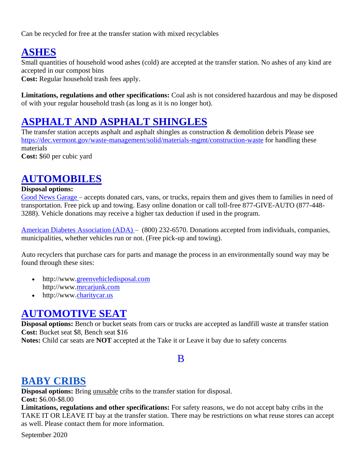Can be recycled for free at the transfer station with mixed recyclables

## **ASHES**

Small quantities of household wood ashes (cold) are accepted at the transfer station. No ashes of any kind are accepted in our compost bins

**Cost:** Regular household trash fees apply.

**Limitations, regulations and other specifications:** Coal ash is not considered hazardous and may be disposed of with your regular household trash (as long as it is no longer hot).

## **ASPHALT AND ASPHALT SHINGLES**

The transfer station accepts asphalt and asphalt shingles as construction & demolition debris Please see <https://dec.vermont.gov/waste-management/solid/materials-mgmt/construction-waste> for handling these materials

**Cost:** \$60 per cubic yard

## **AUTOMOBILES**

#### **Disposal options:**

[Good News Garage –](http://www.goodnewsgarage.org/) accepts donated cars, vans, or trucks, repairs them and gives them to families in need of transportation. Free pick up and towing. Easy online donation or call toll-free 877-GIVE-AUTO (877-448- 3288). Vehicle donations may receive a higher tax deduction if used in the program.

[American Diabetes Association \(ADA\) –](http://www.diabetes.org/donate/other-ways-to-give/vehicle-donation.html?loc=wtg-slabnav) (800) 232-6570. Donations accepted from individuals, companies, municipalities, whether vehicles run or not. (Free pick-up and towing).

Auto recyclers that purchase cars for parts and manage the process in an environmentally sound way may be found through these sites:

- http://www[.greenvehicledisposal.com](http://www.greenvehicledisposal.com/) http://www[.mrcarjunk.com](http://www.mrcarjunk.com/)
- http://www[.charitycar.us](http://www.charitycar.us/)

#### **[AUTOMOTIVE SEAT](http://cswd.net/a-to-z/automotive-seat/)**

**Disposal options:** Bench or bucket seats from cars or trucks are accepted as landfill waste at transfer station **Cost:** Bucket seat \$8, Bench seat \$16

<span id="page-3-0"></span>**Notes:** Child car seats are **NOT** accepted at the Take it or Leave it bay due to safety concerns

#### B

#### **BABY CRIBS**

**Disposal options:** Bring unusable cribs to the transfer station for disposal. **Cost:** \$6.00-\$8.00

**Limitations, regulations and other specifications:** For safety reasons, we do not accept baby cribs in the TAKE IT OR LEAVE IT bay at the transfer station. There may be restrictions on what reuse stores can accept as well. Please contact them for more information.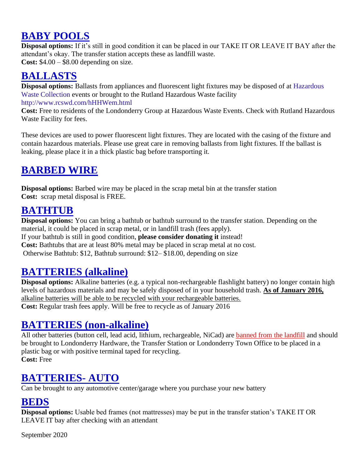# **BABY POOLS**

**Disposal options:** If it's still in good condition it can be placed in our TAKE IT OR LEAVE IT BAY after the attendant's okay. The transfer station accepts these as landfill waste. **Cost:** \$4.00 – \$8.00 depending on size.

## **BALLASTS**

**Disposal options:** Ballasts from appliances and fluorescent light fixtures may be disposed of at Hazardous Waste Collection events or brought to the Rutland Hazardous Waste facility http://www.rcswd.com/hHHWem.html

**Cost:** Free to residents of the Londonderry Group at Hazardous Waste Events. Check with Rutland Hazardous Waste Facility for fees.

These devices are used to power fluorescent light fixtures. They are located with the casing of the fixture and contain hazardous materials. Please use great care in removing ballasts from light fixtures. If the ballast is leaking, please place it in a thick plastic bag before transporting it.

## **BARBED WIRE**

**Disposal options:** Barbed wire may be placed in the scrap metal bin at the transfer station **Cost:** scrap metal disposal is FREE.

#### **BATHTUB**

**Disposal options:** You can bring a bathtub or bathtub surround to the transfer station. Depending on the material, it could be placed in scrap metal, or in landfill trash (fees apply). If your bathtub is still in good condition, **please consider donating it** instead! **Cost:** Bathtubs that are at least 80% metal may be placed in scrap metal at no cost. Otherwise Bathtub: \$12, Bathtub surround: \$12– \$18.00, depending on size

## **BATTERIES (alkaline)**

**Disposal options:** Alkaline batteries (e.g. a typical non-rechargeable flashlight battery) no longer contain high levels of hazardous materials and may be safely disposed of in your household trash. **As of January 2016,** alkaline batteries will be able to be recycled with your rechargeable batteries. **Cost:** Regular trash fees apply. Will be free to recycle as of January 2016

#### **BATTERIES (non-alkaline)**

All other batteries (button cell, lead acid, lithium, rechargeable, NiCad) are [banned from the landfill](http://londonderryvt.org/site/wp-content/uploads/2013/11/LandfillBan-Poster-ps-800.jpg) and should be brought to Londonderry Hardware, the Transfer Station or Londonderry Town Office to be placed in a plastic bag or with positive terminal taped for recycling. **Cost:** Free

## **BATTERIES- AUTO**

Can be brought to any automotive center/garage where you purchase your new battery

#### **BEDS**

**Disposal options:** Usable bed frames (not mattresses) may be put in the transfer station's TAKE IT OR LEAVE IT bay after checking with an attendant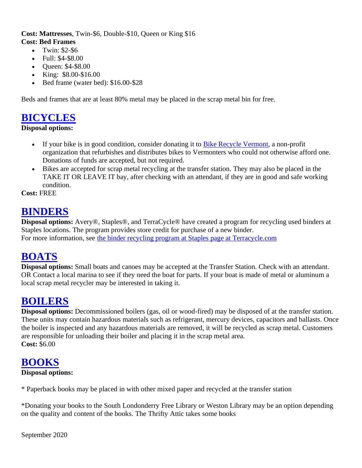#### **Cost: Mattresses**, Twin-\$6, Double-\$10, Queen or King \$16 **Cost: Bed Frames**

- Twin: \$2-\$6
- Full: \$4-\$8.00
- Queen: \$4-\$8.00
- King: \$8.00-\$16.00
- Bed frame (water bed): \$16.00-\$28

Beds and frames that are at least 80% metal may be placed in the scrap metal bin for free.

#### **[BICYCLES](http://cswd.net/a-to-z/bicycles/)**

#### **Disposal options:**

- If your bike is in good condition, consider donating it to [Bike Recycle Vermont,](http://www.localmotion.org/programs/bikerecycle/) a non-profit organization that refurbishes and distributes bikes to Vermonters who could not otherwise afford one. Donations of funds are accepted, but not required.
- Bikes are accepted for scrap metal recycling at the transfer station. They may also be placed in the TAKE IT OR LEAVE IT bay, after checking with an attendant, if they are in good and safe working condition.

**Cost:** FREE

### **BINDERS**

**Disposal options:** Avery®, Staples®, and TerraCycle® have created a program for recycling used binders at Staples locations. The program provides store credit for purchase of a new binder. For more information, see [the binder recycling program at Staples page at Terracycle.com](http://www.terracycle.com/en-US/brigades/binder-recycling-program-at-staples.html)

#### **BOATS**

**Disposal options:** Small boats and canoes may be accepted at the Transfer Station. Check with an attendant. OR Contact a local marina to see if they need the boat for parts. If your boat is made of metal or aluminum a local scrap metal recycler may be interested in taking it.

#### **BOILERS**

**Disposal options:** Decommissioned boilers (gas, oil or wood-fired) may be disposed of at the transfer station. These units may contain hazardous materials such as refrigerant, mercury devices, capacitors and ballasts. Once the boiler is inspected and any hazardous materials are removed, it will be recycled as scrap metal. Customers are responsible for unloading their boiler and placing it in the scrap metal area. **Cost:** \$6.00

#### **BOOKS**

#### **Disposal options:**

\* Paperback books may be placed in with other mixed paper and recycled at the transfer station

\*Donating your books to the South Londonderry Free Library or Weston Library may be an option depending on the quality and content of the books. The Thrifty Attic takes some books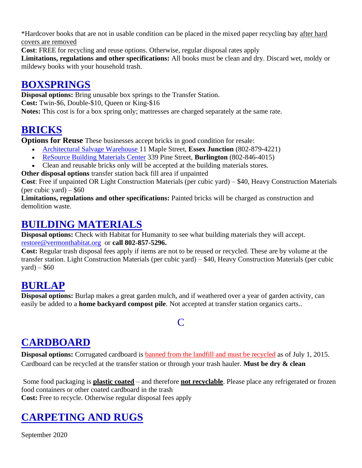\*Hardcover books that are not in usable condition can be placed in the mixed paper recycling bay after hard covers are removed

**Cost**: FREE for recycling and reuse options. Otherwise, regular disposal rates apply

**Limitations, regulations and other specifications:** All books must be clean and dry. Discard wet, moldy or mildewy books with your household trash.

## **BOXSPRINGS**

**Disposal options:** Bring unusable box springs to the Transfer Station. **Cost:** Twin-\$6, Double-\$10, Queen or King-\$16 **Notes:** This cost is for a box spring only; mattresses are charged separately at the same rate.

## **BRICKS**

**Options for Reuse** These businesses accept bricks in good condition for resale:

- [Architectural Salvage Warehouse 1](http://www.greatsalvage.com/)1 Maple Street, **Essex Junction** (802-879-4221)
- [ReSource Building Materials Center](http://www.rebuildvt.org/rebuild/Building_Materials) 339 Pine Street, **Burlington** (802-846-4015)
- Clean and reusable bricks only will be accepted at the building materials stores.

**Other disposal options** transfer station back fill area if unpainted

**Cost**: Free if unpainted OR Light Construction Materials (per cubic yard) – \$40, Heavy Construction Materials (per cubic yard)  $-$  \$60

**Limitations, regulations and other specifications:** Painted bricks will be charged as construction and demolition waste.

## **BUILDING MATERIALS**

**Disposal options:** Check with Habitat for Humanity to see what building materials they will accept. [restore@vermonthabitat.org](mailto:restore@vermonthabitat.org) or **call 802-857-5296.**

**Cost:** Regular trash disposal fees apply if items are not to be reused or recycled. These are by volume at the transfer station. Light Construction Materials (per cubic yard) – \$40, Heavy Construction Materials (per cubic  $\text{yard}$ ) – \$60

## **BURLAP**

**Disposal options:** Burlap makes a great garden mulch, and if weathered over a year of garden activity, can easily be added to a **home backyard compost pile**. Not accepted at transfer station organics carts..

#### $\mathsf{C}$

## <span id="page-6-0"></span>**CARDBOARD**

**Disposal options:** Corrugated cardboard is **banned from the landfill and must be recycled** as of July 1, 2015. Cardboard can be recycled at the transfer station or through your trash hauler. **Must be dry & clean**

Some food packaging is **plastic coated** – and therefore **not recyclable**. Please place any refrigerated or frozen food containers or other coated cardboard in the trash **Cost:** Free to recycle. Otherwise regular disposal fees apply

# **CARPETING AND RUGS**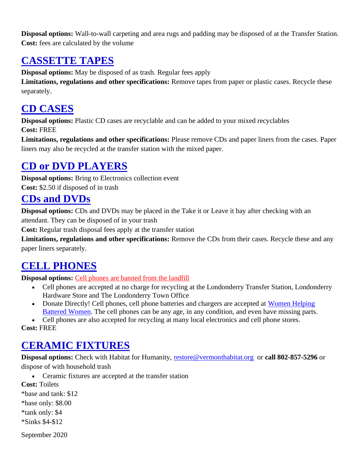**Disposal options:** Wall-to-wall carpeting and area rugs and padding may be disposed of at the Transfer Station. **Cost:** fees are calculated by the volume

## **CASSETTE TAPES**

**Disposal options:** May be disposed of as trash. Regular fees apply

**Limitations, regulations and other specifications:** Remove tapes from paper or plastic cases. Recycle these separately.

## **CD CASES**

**Disposal options:** Plastic CD cases are recyclable and can be added to your mixed recyclables **Cost:** FREE

**Limitations, regulations and other specifications:** Please remove CDs and paper liners from the cases. Paper liners may also be recycled at the transfer station with the mixed paper.

## **CD or DVD PLAYERS**

**Disposal options:** Bring to Electronics collection event **Cost:** \$2.50 if disposed of in trash

#### **CDs and DVDs**

**Disposal options:** CDs and DVDs may be placed in the Take it or Leave it bay after checking with an attendant. They can be disposed of in your trash

**Cost:** Regular trash disposal fees apply at the transfer station

**Limitations, regulations and other specifications:** Remove the CDs from their cases. Recycle these and any paper liners separately.

## **CELL PHONES**

**Disposal options:** [Cell phones are banned from the landfill](http://londonderryvt.org/site/wp-content/uploads/2013/11/LandfillBan-Poster-ps-800.jpg)

- Cell phones are accepted at no charge for recycling at the Londonderry Transfer Station, Londonderry Hardware Store and The Londonderry Town Office
- Donate Directly! Cell phones, cell phone batteries and chargers are accepted at Women Helping [Battered Women.](http://www.whbw.org/donate/old-cell-phones-needed/) The cell phones can be any age, in any condition, and even have missing parts.

• Cell phones are also accepted for recycling at many local electronics and cell phone stores.

**Cost:** FREE

## **CERAMIC FIXTURES**

**Disposal options:** Check with Habitat for Humanity, [restore@vermonthabitat.org](mailto:restore@vermonthabitat.org) or **call 802-857-5296** or dispose of with household trash

• Ceramic fixtures are accepted at the transfer station

**Cost:** Toilets

\*base and tank: \$12

\*base only: \$8.00

\*tank only: \$4

\*Sinks \$4-\$12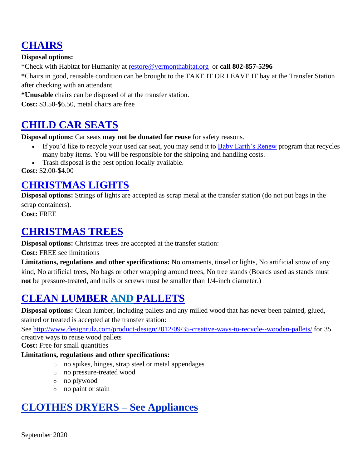## **CHAIRS**

**Disposal options:**

\*Check with Habitat for Humanity at [restore@vermonthabitat.org](mailto:restore@vermonthabitat.org) or **call 802-857-5296**

**\***Chairs in good, reusable condition can be brought to the TAKE IT OR LEAVE IT bay at the Transfer Station after checking with an attendant

**\*Unusable** chairs can be disposed of at the transfer station.

**Cost:** \$3.50-\$6.50, metal chairs are free

#### **CHILD CAR SEATS**

**Disposal options:** Car seats **may not be donated for reuse** for safety reasons.

- If you'd like to recycle your used car seat, you may send it to [Baby Earth's Renew](http://www.babyearth.com/renew/) program that recycles many baby items. You will be responsible for the shipping and handling costs.
- Trash disposal is the best option locally available.

**Cost:** \$2.00-\$4.00

### **[CHRISTMAS LIGHTS](http://cswd.net/a-to-z/christmas-lights/)**

**Disposal options:** Strings of lights are accepted as scrap metal at the transfer station (do not put bags in the scrap containers).

**Cost:** FREE

#### **CHRISTMAS TREES**

**Disposal options:** Christmas trees are accepted at the transfer station:

**Cost:** FREE see limitations

**Limitations, regulations and other specifications:** No ornaments, tinsel or lights, No artificial snow of any kind, No artificial trees, No bags or other wrapping around trees, No tree stands (Boards used as stands must **not** be pressure-treated, and nails or screws must be smaller than 1/4-inch diameter.)

## **CLEAN LUMBER AND PALLETS**

**Disposal options:** Clean lumber, including pallets and any milled wood that has never been painted, glued, stained or treated is accepted at the transfer station:

See<http://www.designrulz.com/product-design/2012/09/35-creative-ways-to-recycle--wooden-pallets/> for 35 creative ways to reuse wood pallets

**Cost:** Free for small quantities

#### **Limitations, regulations and other specifications:**

- o no spikes, hinges, strap steel or metal appendages
- o no pressure-treated wood
- o no plywood
- o no paint or stain

## **CLOTHES DRYERS – See Appliances**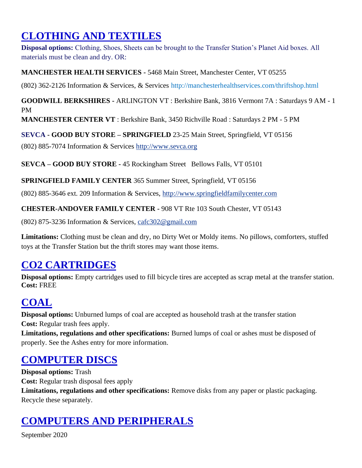# **CLOTHING AND TEXTILES**

**Disposal options:** Clothing, Shoes, Sheets can be brought to the Transfer Station's Planet Aid boxes. All materials must be clean and dry. OR:

#### **MANCHESTER HEALTH SERVICES -** 5468 Main Street, Manchester Center, VT 05255

(802) 362-2126 Information & Services, & Services http://manchesterhealthservices.com/thriftshop.html

**GOODWILL BERKSHIRES -** ARLINGTON VT : Berkshire Bank, 3816 Vermont 7A : Saturdays 9 AM - 1 PM

**MANCHESTER CENTER VT** : Berkshire Bank, 3450 Richville Road : Saturdays 2 PM - 5 PM

**SEVCA - GOOD BUY STORE – SPRINGFIELD** 23-25 Main Street, Springfield, VT 05156

(802) 885-7074 Information & Services [http://www.sevca.org](http://www.sevca.org/)

**SEVCA – GOOD BUY STORE -** 45 Rockingham Street Bellows Falls, VT 05101

**SPRINGFIELD FAMILY CENTER** 365 Summer Street, Springfield, VT 05156

(802) 885-3646 ext. 209 Information & Services, [http://www.springfieldfamilycenter.com](http://www.springfieldfamilycenter.com/)

**CHESTER-ANDOVER FAMILY CENTER -** 908 VT Rte 103 South Chester, VT 05143

(802) 875-3236 Information & Services, [cafc302@gmail.com](mailto:cafc302@gmail.com)

**Limitations:** Clothing must be clean and dry, no Dirty Wet or Moldy items. No pillows, comforters, stuffed toys at the Transfer Station but the thrift stores may want those items.

## **CO2 CARTRIDGES**

**Disposal options:** Empty cartridges used to fill bicycle tires are accepted as scrap metal at the transfer station. **Cost:** FREE

# **COAL**

**Disposal options:** Unburned lumps of coal are accepted as household trash at the transfer station **Cost:** Regular trash fees apply.

**Limitations, regulations and other specifications:** Burned lumps of coal or ashes must be disposed of properly. See the Ashes entry for more information.

## **COMPUTER DISCS**

**Disposal options:** Trash **Cost:** Regular trash disposal fees apply **Limitations, regulations and other specifications:** Remove disks from any paper or plastic packaging. Recycle these separately.

# **COMPUTERS AND PERIPHERALS**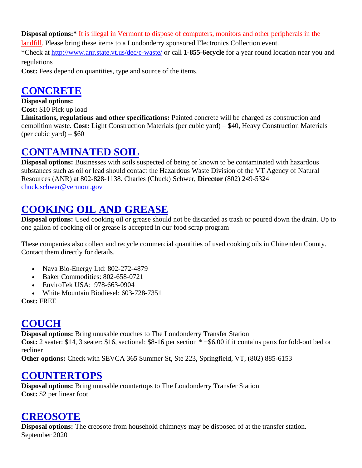**Disposal options:\*** [It is illegal in Vermont to dispose of computers, monitors and other peripherals in the](http://londonderryvt.org/site/wp-content/uploads/2013/11/LandfillBan-Poster-ps-800.jpg) 

[landfill.](http://londonderryvt.org/site/wp-content/uploads/2013/11/LandfillBan-Poster-ps-800.jpg) Please bring these items to a Londonderry sponsored Electronics Collection event.

\*Check at<http://www.anr.state.vt.us/dec/e-waste/> or call **1-855-6ecycle** for a year round location near you and regulations

**Cost:** Fees depend on quantities, type and source of the items.

#### **[CONCRETE](http://cswd.net/a-to-z/concrete/)**

**Disposal options:**

**Cost:** \$10 Pick up load

**Limitations, regulations and other specifications:** Painted concrete will be charged as construction and demolition waste. **Cost:** Light Construction Materials (per cubic yard) – \$40, Heavy Construction Materials (per cubic yard)  $-$  \$60

#### **CONTAMINATED SOIL**

**Disposal options:** Businesses with soils suspected of being or known to be contaminated with hazardous substances such as oil or lead should contact the Hazardous Waste Division of the VT Agency of Natural Resources (ANR) at 802-828-1138. Charles (Chuck) Schwer, **Director** (802) 249-5324 [chuck.schwer@vermont.gov](mailto:chuck.schwer@vermont.gov)

## **COOKING OIL AND GREASE**

**Disposal options:** Used cooking oil or grease should not be discarded as trash or poured down the drain. Up to one gallon of cooking oil or grease is accepted in our food scrap program

These companies also collect and recycle commercial quantities of used cooking oils in Chittenden County. Contact them directly for details.

- Nava Bio-Energy Ltd: 802-272-4879
- Baker Commodities: 802-658-0721
- EnviroTek USA: 978-663-0904
- White Mountain Biodiesel: 603-728-7351

**Cost:** FREE

## **COUCH**

**Disposal options:** Bring unusable couches to The Londonderry Transfer Station

**Cost:** 2 seater: \$14, 3 seater: \$16, sectional: \$8-16 per section \* +\$6.00 if it contains parts for fold-out bed or recliner

**Other options:** Check with SEVCA 365 Summer St, Ste 223, Springfield, VT, (802) 885-6153

## **COUNTERTOPS**

**Disposal options:** Bring unusable countertops to The Londonderry Transfer Station **Cost:** \$2 per linear foot

#### **CREOSOTE**

September 2020 **Disposal options:** The creosote from household chimneys may be disposed of at the transfer station.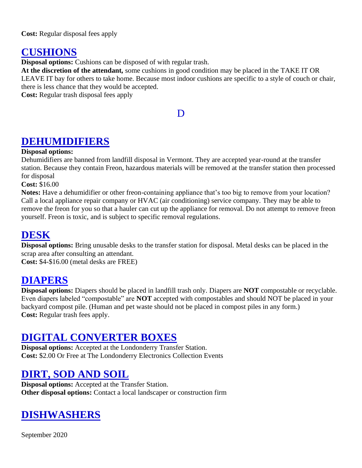**Cost:** Regular disposal fees apply

#### **CUSHIONS**

**Disposal options:** Cushions can be disposed of with regular trash.

**At the discretion of the attendant***,* some cushions in good condition may be placed in the TAKE IT OR LEAVE IT bay for others to take home. Because most indoor cushions are specific to a style of couch or chair, there is less chance that they would be accepted.

<span id="page-11-0"></span>**Cost:** Regular trash disposal fees apply

#### D

#### **DEHUMIDIFIERS**

#### **Disposal options:**

Dehumidifiers are banned from landfill disposal in Vermont. They are accepted year-round at the transfer station. Because they contain Freon, hazardous materials will be removed at the transfer station then processed for disposal

**Cost:** \$16.00

**Notes:** Have a dehumidifier or other freon-containing appliance that's too big to remove from your location? Call a local appliance repair company or HVAC (air conditioning) service company. They may be able to remove the freon for you so that a hauler can cut up the appliance for removal. Do not attempt to remove freon yourself. Freon is toxic, and is subject to specific removal regulations.

#### **DESK**

**Disposal options:** Bring unusable desks to the transfer station for disposal. Metal desks can be placed in the scrap area after consulting an attendant.

**Cost:** \$4-\$16.00 (metal desks are FREE)

#### **[DIAPERS](http://cswd.net/a-to-z/diapers/)**

**Disposal options:** Diapers should be placed in landfill trash only. Diapers are **NOT** compostable or recyclable. Even diapers labeled "compostable" are **NOT** accepted with compostables and should NOT be placed in your backyard compost pile. (Human and pet waste should not be placed in compost piles in any form.) **Cost:** Regular trash fees apply.

#### **DIGITAL CONVERTER BOXES**

**Disposal options:** Accepted at the Londonderry Transfer Station. **Cost:** \$2.00 Or Free at The Londonderry Electronics Collection Events

#### **DIRT, SOD AND SOIL**

**Disposal options:** Accepted at the Transfer Station. **Other disposal options:** Contact a local landscaper or construction firm

## **DISHWASHERS**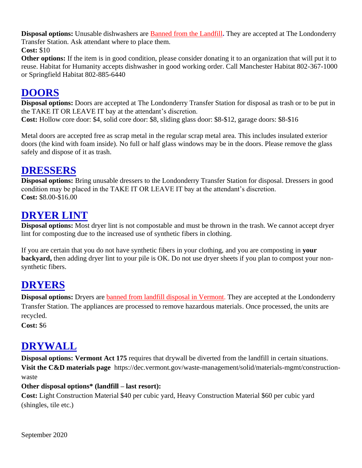**Disposal options:** Unusable dishwashers are [Banned from the Landfill](http://londonderryvt.org/site/wp-content/uploads/2013/11/LandfillBan-Poster-ps-800.jpg)**.** They are accepted at The Londonderry Transfer Station. Ask attendant where to place them.

**Cost:** \$10

**Other options:** If the item is in good condition, please consider donating it to an organization that will put it to reuse. Habitat for Humanity accepts dishwasher in good working order. Call Manchester Habitat 802-367-1000 or Springfield Habitat 802-885-6440

### **DOORS**

**Disposal options:** Doors are accepted at The Londonderry Transfer Station for disposal as trash or to be put in the TAKE IT OR LEAVE IT bay at the attendant's discretion.

**Cost:** Hollow core door: \$4, solid core door: \$8, sliding glass door: \$8-\$12, garage doors: \$8-\$16

Metal doors are accepted free as scrap metal in the regular scrap metal area. This includes insulated exterior doors (the kind with foam inside). No full or half glass windows may be in the doors. Please remove the glass safely and dispose of it as trash.

#### **DRESSERS**

**Disposal options:** Bring unusable dressers to the Londonderry Transfer Station for disposal. Dressers in good condition may be placed in the TAKE IT OR LEAVE IT bay at the attendant's discretion. **Cost:** \$8.00-\$16.00

#### **DRYER LINT**

**Disposal options:** Most dryer lint is not compostable and must be thrown in the trash. We cannot accept dryer lint for composting due to the increased use of synthetic fibers in clothing.

If you are certain that you do not have synthetic fibers in your clothing, and you are composting in **your backyard,** then adding dryer lint to your pile is OK. Do not use dryer sheets if you plan to compost your nonsynthetic fibers.

## **DRYERS**

**Disposal options:** Dryers are [banned from landfill disposal in Vermont.](http://londonderryvt.org/site/wp-content/uploads/2013/11/LandfillBan-Poster-ps-800.jpg) They are accepted at the Londonderry Transfer Station. The appliances are processed to remove hazardous materials. Once processed, the units are recycled.

**Cost:** \$6

## **DRYWALL**

**Disposal options: Vermont Act 175** requires that drywall be diverted from the landfill in certain situations. **[Visit the C&D materials page](http://cswd.net/recycling/construction-demolition-waste/)** https://dec.vermont.gov/waste-management/solid/materials-mgmt/constructionwaste

#### **Other disposal options\* (landfill – last resort):**

**Cost:** Light Construction Material \$40 per cubic yard, Heavy Construction Material \$60 per cubic yard (shingles, tile etc.)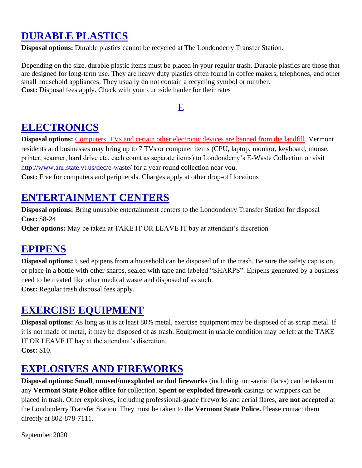## **DURABLE PLASTICS**

**Disposal options:** Durable plastics cannot be recycled at The Londonderry Transfer Station.

Depending on the size, durable plastic items must be placed in your regular trash. Durable plastics are those that are designed for long-term use. They are heavy duty plastics often found in coffee makers, telephones, and other small household appliances. They usually do not contain a recycling symbol or number. **Cost:** Disposal fees apply. Check with your curbside hauler for their rates

#### E

#### <span id="page-13-0"></span>**ELECTRONICS**

**Disposal options:** [Computers, TVs and certain other electronic devices are banned from the landfill.](http://londonderryvt.org/site/wp-content/uploads/2013/11/LandfillBan-Poster-ps-800.jpg) Vermont residents and businesses may bring up to 7 TVs or computer items (CPU, laptop, monitor, keyboard, mouse, printer, scanner, hard drive etc. each count as separate items) to Londonderry's E-Waste Collection or visit <http://www.anr.state.vt.us/dec/e-waste/> for a year round collection near you.

**Cost:** Free for computers and peripherals. Charges apply at other drop-off locations

## **ENTERTAINMENT CENTERS**

**Disposal options:** Bring unusable entertainment centers to the Londonderry Transfer Station for disposal **Cost:** \$8-24

**Other options:** May be taken at TAKE IT OR LEAVE IT bay at attendant's discretion

#### **EPIPENS**

**Disposal options:** Used epipens from a household can be disposed of in the trash. Be sure the safety cap is on, or place in a bottle with other sharps, sealed with tape and labeled "SHARPS". Epipens generated by a business need to be treated like other medical waste and disposed of as such. **Cost:** Regular trash disposal fees apply.

#### **EXERCISE EQUIPMENT**

**Disposal options:** As long as it is at least 80% metal, exercise equipment may be disposed of as scrap metal. If it is not made of metal, it may be disposed of as trash. Equipment in usable condition may be left at the TAKE IT OR LEAVE IT bay at the attendant's discretion. **Cost:** \$10.

## **EXPLOSIVES AND FIREWORKS**

**Disposal options: Small**, **unused/unexploded or dud fireworks** (including non-aerial flares) can be taken to any **Vermont State Police office** for collection. **Spent or exploded firework** casings or wrappers can be placed in trash. Other explosives, including professional-grade fireworks and aerial flares, **are not accepted** at the Londonderry Transfer Station. They must be taken to the **Vermont State Police.** Please contact them directly at 802-878-7111.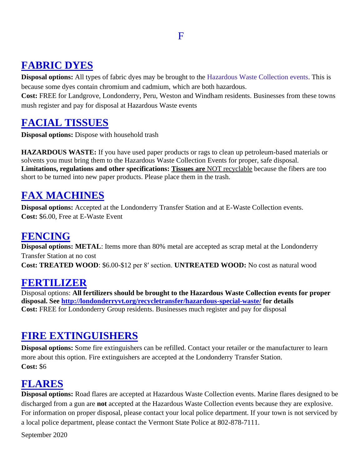## <span id="page-14-0"></span>**FABRIC DYES**

**Disposal options:** All types of fabric dyes may be brought to the Hazardous Waste Collection events. This is because some dyes contain chromium and cadmium, which are both hazardous.

**Cost:** FREE for Landgrove, Londonderry, Peru, Weston and Windham residents. Businesses from these towns mush register and pay for disposal at Hazardous Waste events

### **FACIAL TISSUES**

**Disposal options:** Dispose with household trash

**HAZARDOUS WASTE:** If you have used paper products or rags to clean up petroleum-based materials or solvents you must bring them to the Hazardous Waste Collection Events for proper, safe disposal. **Limitations, regulations and other specifications: Tissues are** NOT recyclable because the fibers are too short to be turned into new paper products. Please place them in the trash.

## **FAX MACHINES**

**Disposal options:** Accepted at the Londonderry Transfer Station and at E-Waste Collection events. **Cost:** \$6.00, Free at E-Waste Event

#### **FENCING**

**Disposal options: METAL**: Items more than 80% metal are accepted as scrap metal at the Londonderry Transfer Station at no cost **Cost: TREATED WOOD**: \$6.00-\$12 per 8′ section. **UNTREATED WOOD:** No cost as natural wood

#### **[FERTILIZER](http://cswd.net/a-to-z/fertilizer/)**

Disposal options: **All fertilizers should be brought to the Hazardous Waste Collection events for proper disposal. See<http://londonderryvt.org/recycletransfer/hazardous-special-waste/> for details Cost:** FREE for Londonderry Group residents. Businesses much register and pay for disposal

#### **FIRE EXTINGUISHERS**

**Disposal options:** Some fire extinguishers can be refilled. Contact your retailer or the manufacturer to learn more about this option. Fire extinguishers are accepted at the Londonderry Transfer Station. **Cost:** \$6

## **FLARES**

**Disposal options:** Road flares are accepted at Hazardous Waste Collection events. Marine flares designed to be discharged from a gun are **not** accepted at the Hazardous Waste Collection events because they are explosive. For information on proper disposal, please contact your local police department. If your town is not serviced by a local police department, please contact the Vermont State Police at 802-878-7111.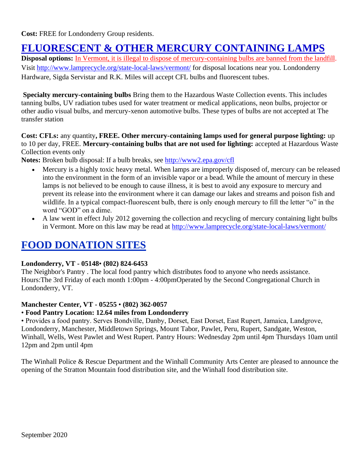**Cost:** FREE for Londonderry Group residents.

### **FLUORESCENT & OTHER MERCURY CONTAINING LAMPS**

**Disposal options:** [In Vermont, it is illegal to dispose of mercury-containing bulbs are banned from the landfill.](http://londonderryvt.org/site/wp-content/uploads/2013/11/LandfillBan-Poster-ps-800.jpg) Visit<http://www.lamprecycle.org/state-local-laws/vermont/> for disposal locations near you. Londonderry Hardware, Sigda Servistar and R.K. Miles will accept CFL bulbs and fluorescent tubes.

**Specialty mercury-containing bulbs** Bring them to the Hazardous Waste Collection events. This includes tanning bulbs, UV radiation tubes used for water treatment or medical applications, neon bulbs, projector or other audio visual bulbs, and mercury-xenon automotive bulbs. These types of bulbs are not accepted at The transfer station

**Cost: CFLs:** any quantity**, FREE. Other mercury-containing lamps used for general purpose lighting:** up to 10 per day, FREE. **Mercury-containing bulbs that are not used for lighting:** accepted at Hazardous Waste Collection events only

**Notes:** Broken bulb disposal: If a bulb breaks, see<http://www2.epa.gov/cfl>

- Mercury is a highly toxic heavy metal. When lamps are improperly disposed of, mercury can be released into the environment in the form of an invisible vapor or a bead. While the amount of mercury in these lamps is not believed to be enough to cause illness, it is best to avoid any exposure to mercury and prevent its release into the environment where it can damage our lakes and streams and poison fish and wildlife. In a typical compact-fluorescent bulb, there is only enough mercury to fill the letter "o" in the word "GOD" on a dime.
- A law went in effect July 2012 governing the collection and recycling of mercury containing light bulbs in Vermont. More on this law may be read at<http://www.lamprecycle.org/state-local-laws/vermont/>

## **FOOD DONATION SITES**

#### **Londonderry, VT - 05148**• **(802) 824-6453**

The Neighbor's Pantry . The local food pantry which distributes food to anyone who needs assistance. Hours:The 3rd Friday of each month 1:00pm - 4:00pmOperated by the Second Congregational Church in Londonderry, VT.

#### **Manchester Center, VT - 05255** • **(802) 362-0057**

#### • **Food Pantry Location: 12.64 miles from Londonderry**

• Provides a food pantry. Serves Bondville, Danby, Dorset, East Dorset, East Rupert, Jamaica, Landgrove, Londonderry, Manchester, Middletown Springs, Mount Tabor, Pawlet, Peru, Rupert, Sandgate, Weston, Winhall, Wells, West Pawlet and West Rupert. Pantry Hours: Wednesday 2pm until 4pm Thursdays 10am until 12pm and 2pm until 4pm

The Winhall Police & Rescue Department and the Winhall Community Arts Center are pleased to announce the opening of the Stratton Mountain food distribution site, and the Winhall food distribution site.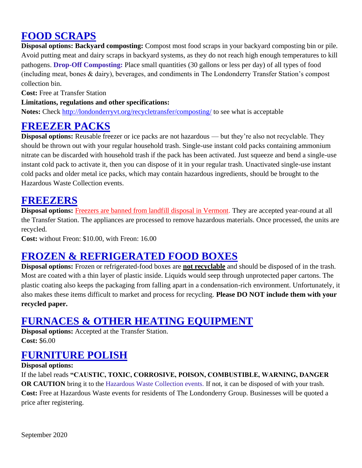## **FOOD SCRAPS**

**Disposal options: Backyard composting:** Compost most food scraps in your backyard composting bin or pile. Avoid putting meat and dairy scraps in backyard systems, as they do not reach high enough temperatures to kill pathogens. **Drop-Off Composting:** Place small quantities (30 gallons or less per day) of all types of food (including meat, bones & dairy), beverages, and condiments in The Londonderry Transfer Station's compost collection bin.

**Cost:** Free at Transfer Station

#### **Limitations, regulations and other specifications:**

**Notes:** Check<http://londonderryvt.org/recycletransfer/composting/> to see what is acceptable

#### **FREEZER PACKS**

**Disposal options:** Reusable freezer or ice packs are not hazardous — but they're also not recyclable. They should be thrown out with your regular household trash. Single-use instant cold packs containing ammonium nitrate can be discarded with household trash if the pack has been activated. Just squeeze and bend a single-use instant cold pack to activate it, then you can dispose of it in your regular trash. Unactivated single-use instant cold packs and older metal ice packs, which may contain hazardous ingredients, should be brought to the Hazardous Waste Collection events.

#### **FREEZERS**

**Disposal options:** [Freezers are banned from landfill disposal in Vermont.](http://londonderryvt.org/site/wp-content/uploads/2013/11/LandfillBan-Poster-ps-800.jpg) They are accepted year-round at all the Transfer Station. The appliances are processed to remove hazardous materials. Once processed, the units are recycled.

**Cost:** without Freon: \$10.00, with Freon: 16.00

## **FROZEN & REFRIGERATED FOOD BOXES**

**Disposal options:** Frozen or refrigerated-food boxes are **not recyclable** and should be disposed of in the trash. Most are coated with a thin layer of plastic inside. Liquids would seep through unprotected paper cartons. The plastic coating also keeps the packaging from falling apart in a condensation-rich environment. Unfortunately, it also makes these items difficult to market and process for recycling. **Please DO NOT include them with your recycled paper.**

## **FURNACES & OTHER HEATING EQUIPMENT**

**Disposal options:** Accepted at the Transfer Station. **Cost:** \$6.00

## **FURNITURE POLISH**

#### **Disposal options:**

If the label reads **"CAUSTIC, TOXIC, CORROSIVE, POISON, COMBUSTIBLE, WARNING, DANGER OR CAUTION** bring it to the Hazardous Waste Collection events. If not, it can be disposed of with your trash. **Cost:** Free at Hazardous Waste events for residents of The Londonderry Group. Businesses will be quoted a price after registering.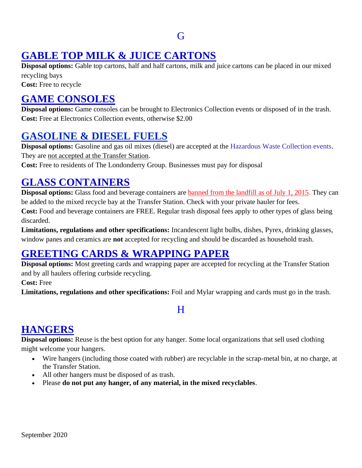#### G

## <span id="page-17-0"></span>**GABLE TOP MILK & JUICE CARTONS**

**Disposal options:** Gable top cartons, half and half cartons, milk and juice cartons can be placed in our mixed recycling bays

**Cost:** Free to recycle

## **GAME CONSOLES**

**Disposal options:** Game consoles can be brought to Electronics Collection events or disposed of in the trash. **Cost:** Free at Electronics Collection events, otherwise \$2.00

### **[GASOLINE & DIESEL FUELS](http://cswd.net/a-to-z/gasoline/)**

**Disposal options:** Gasoline and gas oil mixes (diesel) are accepted at the Hazardous Waste Collection events. They are not accepted at the Transfer Station.

**Cost:** Free to residents of The Londonderry Group. Businesses must pay for disposal

## **GLASS CONTAINERS**

**Disposal options:** Glass food and beverage containers are **banned from the landfill as of July 1, 2015**. They can be added to the mixed recycle bay at the Transfer Station. Check with your private hauler for fees. **Cost:** Food and beverage containers are FREE. Regular trash disposal fees apply to other types of glass being discarded.

**Limitations, regulations and other specifications:** Incandescent light bulbs, dishes, Pyrex, drinking glasses, window panes and ceramics are **not** accepted for recycling and should be discarded as household trash.

## **GREETING CARDS & WRAPPING PAPER**

**Disposal options:** Most greeting cards and wrapping paper are accepted for recycling at the Transfer Station and by all haulers offering curbside recycling.

**Cost:** Free

<span id="page-17-1"></span>**Limitations, regulations and other specifications:** Foil and Mylar wrapping and cards must go in the trash.

#### H

## **HANGERS**

**Disposal options:** Reuse is the best option for any hanger. Some local organizations that sell used clothing might welcome your hangers.

- Wire hangers (including those coated with rubber) are recyclable in the scrap-metal bin, at no charge, at the Transfer Station.
- All other hangers must be disposed of as trash.
- Please **do not put any hanger, of any material, in the mixed recyclables**.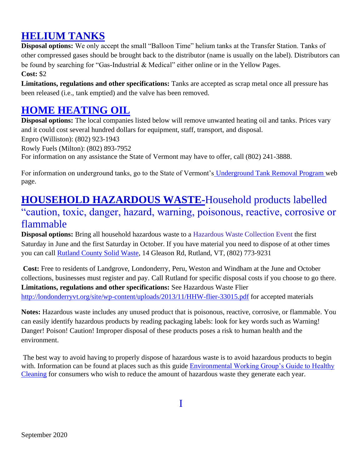## **HELIUM TANKS**

**Disposal options:** We only accept the small "Balloon Time" helium tanks at the Transfer Station. Tanks of other compressed gases should be brought back to the distributor (name is usually on the label). Distributors can be found by searching for "Gas-Industrial & Medical" either online or in the Yellow Pages. **Cost:** \$2

**Limitations, regulations and other specifications:** Tanks are accepted as scrap metal once all pressure has been released (i.e., tank emptied) and the valve has been removed.

### **[HOME HEATING OIL](http://cswd.net/a-to-z/home-heating-oil/)**

**Disposal options:** The local companies listed below will remove unwanted heating oil and tanks. Prices vary and it could cost several hundred dollars for equipment, staff, transport, and disposal.

Enpro (Williston): (802) 923-1943

Rowly Fuels (Milton): (802) 893-7952

For information on any assistance the State of Vermont may have to offer, call (802) 241-3888.

For information on underground tanks, go to the State of Vermont's [Underground Tank Removal Program w](http://www.anr.state.vt.us/dec/wastediv/ust/ustgrantapplication.htm)eb page.

# **HOUSEHOLD HAZARDOUS WASTE-**Household products labelled

## "caution, toxic, danger, hazard, warning, poisonous, reactive, corrosive or flammable

**Disposal options:** Bring all household hazardous waste to a Hazardous Waste Collection Event the first Saturday in June and the first Saturday in October. If you have material you need to dispose of at other times you can call [Rutland County Solid Waste,](https://local.yahoo.com/details;_ylt=A0LEVvfUV5xVzVUA8f8nnIlQ;_ylu=X3oDMTEzbWFxdmg3BGNvbG8DYmYxBHBvcwMxBHZ0aWQDRkZHRTAyXzEEc2VjA3Nj?id=10488147&stx=rutland+solid+waste+district&csz=Rutland+VT) 14 Gleason Rd, Rutland, VT, (802) 773-9231

**Cost:** Free to residents of Landgrove, Londonderry, Peru, Weston and Windham at the June and October collections, businesses must register and pay. Call Rutland for specific disposal costs if you choose to go there. **Limitations, regulations and other specifications:** See Hazardous Waste Flier <http://londonderryvt.org/site/wp-content/uploads/2013/11/HHW-flier-33015.pdf> for accepted materials

**Notes:** Hazardous waste includes any unused product that is poisonous, reactive, corrosive, or flammable. You can easily identify hazardous products by reading packaging labels: look for key words such as Warning! Danger! Poison! Caution! Improper disposal of these products poses a risk to human health and the environment.

<span id="page-18-0"></span>The best way to avoid having to properly dispose of hazardous waste is to avoid hazardous products to begin with. Information can be found at places such as this guide Environmental Working Group's Guide to Healthy [Cleaning](http://www.ewg.org/guides/cleaners) for consumers who wish to reduce the amount of hazardous waste they generate each year.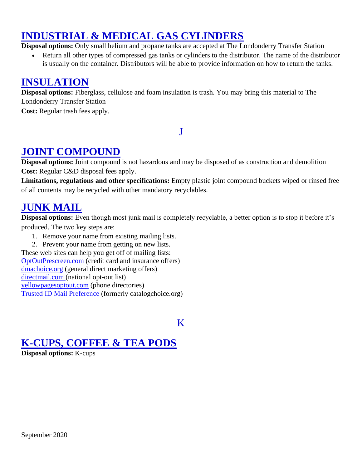## **INDUSTRIAL & MEDICAL GAS CYLINDERS**

**Disposal options:** Only small helium and propane tanks are accepted at The Londonderry Transfer Station

Return all other types of compressed gas tanks or cylinders to the distributor. The name of the distributor is usually on the container. Distributors will be able to provide information on how to return the tanks.

### **INSULATION**

**Disposal options:** Fiberglass, cellulose and foam insulation is trash. You may bring this material to The Londonderry Transfer Station

<span id="page-19-0"></span>**Cost:** Regular trash fees apply.

#### J

### **JOINT COMPOUND**

**Disposal options:** Joint compound is not hazardous and may be disposed of as construction and demolition **Cost:** Regular C&D disposal fees apply.

**Limitations, regulations and other specifications:** Empty plastic joint compound buckets wiped or rinsed free of all contents may be recycled with other mandatory recyclables.

#### **JUNK MAIL**

**Disposal options:** Even though most junk mail is completely recyclable, a better option is to stop it before it's produced. The two key steps are:

1. Remove your name from existing mailing lists.

2. Prevent your name from getting on new lists. These web sites can help you get off of mailing lists: [OptOutPrescreen.com](https://www.optoutprescreen.com/?rf=t) (credit card and insurance offers) [dmachoice.org](https://www.dmachoice.org/) (general direct marketing offers) [directmail.com \(](http://www.directmail.com/directory/mail_preference/)national opt-out list) [yellowpagesoptout.com](https://www.yellowpagesoptout.com/) (phone directories) [Trusted ID Mail Preference \(](https://www.catalogchoice.org/)formerly catalogchoice.org)

#### K

#### <span id="page-19-1"></span>**K-CUPS, COFFEE & TEA PODS**

**Disposal options:** K-cups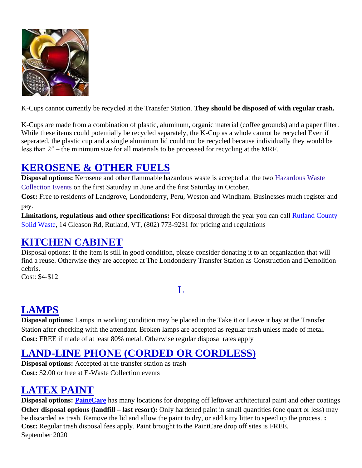

K-Cups cannot currently be recycled at the Transfer Station. **They should be disposed of with regular trash.**

K-Cups are made from a combination of plastic, aluminum, organic material (coffee grounds) and a paper filter. While these items could potentially be recycled separately, the K-Cup as a whole cannot be recycled Even if separated, the plastic cup and a single aluminum lid could not be recycled because individually they would be less than 2″ – the minimum size for all materials to be processed for recycling at the MRF.

## **KEROSENE & OTHER FUELS**

**Disposal options:** Kerosene and other flammable hazardous waste is accepted at the two Hazardous Waste Collection Events on the first Saturday in June and the first Saturday in October.

**Cost:** Free to residents of Landgrove, Londonderry, Peru, Weston and Windham. Businesses much register and pay.

**Limitations, regulations and other specifications:** For disposal through the year you can call [Rutland County](https://local.yahoo.com/details;_ylt=A0LEVvfUV5xVzVUA8f8nnIlQ;_ylu=X3oDMTEzbWFxdmg3BGNvbG8DYmYxBHBvcwMxBHZ0aWQDRkZHRTAyXzEEc2VjA3Nj?id=10488147&stx=rutland+solid+waste+district&csz=Rutland+VT)  [Solid Waste,](https://local.yahoo.com/details;_ylt=A0LEVvfUV5xVzVUA8f8nnIlQ;_ylu=X3oDMTEzbWFxdmg3BGNvbG8DYmYxBHBvcwMxBHZ0aWQDRkZHRTAyXzEEc2VjA3Nj?id=10488147&stx=rutland+solid+waste+district&csz=Rutland+VT) 14 Gleason Rd, Rutland, VT, (802) 773-9231 for pricing and regulations

#### **KITCHEN CABINET**

Disposal options: If the item is still in good condition, please consider donating it to an organization that will find a reuse. Otherwise they are accepted at The Londonderry Transfer Station as Construction and Demolition debris.

<span id="page-20-0"></span>Cost: \$4-\$12

#### $\mathbf{L}$

## **LAMPS**

**Disposal options:** Lamps in working condition may be placed in the Take it or Leave it bay at the Transfer Station after checking with the attendant. Broken lamps are accepted as regular trash unless made of metal. **Cost:** FREE if made of at least 80% metal. Otherwise regular disposal rates apply

## **LAND-LINE PHONE (CORDED OR CORDLESS)**

**Disposal options:** Accepted at the transfer station as trash **Cost:** \$2.00 or free at E-Waste Collection events

## **LATEX PAINT**

September 2020 **Disposal options: [PaintCare](http://www.paintcare.org/index.php)** has many locations for dropping off leftover architectural paint and other coatings **Other disposal options (landfill – last resort):** Only hardened paint in small quantities (one quart or less) may be discarded as trash. Remove the lid and allow the paint to dry, or add kitty litter to speed up the process. **: Cost:** Regular trash disposal fees apply. Paint brought to the PaintCare drop off sites is FREE.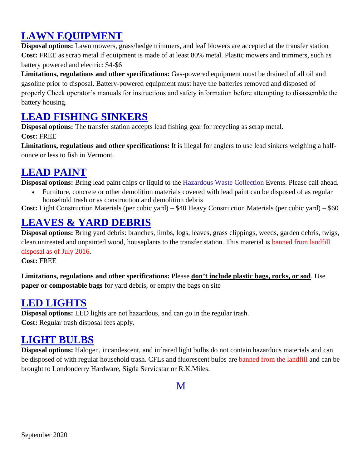## **LAWN EQUIPMENT**

**Disposal options:** Lawn mowers, grass/hedge trimmers, and leaf blowers are accepted at the transfer station **Cost:** FREE as scrap metal if equipment is made of at least 80% metal. Plastic mowers and trimmers, such as battery powered and electric: \$4-\$6

**Limitations, regulations and other specifications:** Gas-powered equipment must be drained of all oil and gasoline prior to disposal. Battery-powered equipment must have the batteries removed and disposed of properly Check operator's manuals for instructions and safety information before attempting to disassemble the battery housing.

#### **LEAD FISHING SINKERS**

**Disposal options:** The transfer station accepts lead fishing gear for recycling as scrap metal.

**Cost:** FREE

**Limitations, regulations and other specifications:** It is illegal for anglers to use lead sinkers weighing a halfounce or less to fish in Vermont.

## **LEAD PAINT**

**Disposal options:** Bring lead paint chips or liquid to the Hazardous Waste Collection Events. Please call ahead.

• Furniture, concrete or other demolition materials covered with lead paint can be disposed of as regular household trash or as construction and demolition debris

**Cost:** Light Construction Materials (per cubic yard) – \$40 Heavy Construction Materials (per cubic yard) – \$60

### **LEAVES & YARD DEBRIS**

**Disposal options:** Bring yard debris: branches, limbs, logs, leaves, grass clippings, weeds, garden debris, twigs, clean untreated and unpainted wood, houseplants to the transfer station. This material is banned from landfill disposal as of July 2016.

**Cost:** FREE

**Limitations, regulations and other specifications:** Please **don't include plastic bags, rocks, or sod**. Use **paper or compostable bags** for yard debris, or empty the bags on site

#### **LED LIGHTS**

**Disposal options:** LED lights are not hazardous, and can go in the regular trash. **Cost:** Regular trash disposal fees apply.

#### **LIGHT BULBS**

<span id="page-21-0"></span>**Disposal options:** Halogen, incandescent, and infrared light bulbs do not contain hazardous materials and can be disposed of with regular household trash. CFLs and fluorescent bulbs are banned from the landfill and can be brought to Londonderry Hardware, Sigda Servicstar or R.K.Miles.

M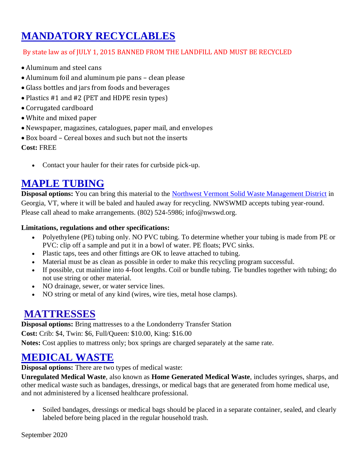# **MANDATORY RECYCLABLES**

#### By state law as of JULY 1, 2015 BANNED FROM THE LANDFILL AND MUST BE RECYCLED

- Aluminum and steel cans
- Aluminum foil and aluminum pie pans clean please
- Glass bottles and jars from foods and beverages
- Plastics #1 and #2 (PET and HDPE resin types)
- Corrugated cardboard
- White and mixed paper
- Newspaper, magazines, catalogues, paper mail, and envelopes
- Box board Cereal boxes and such but not the inserts

**Cost:** FREE

• Contact your hauler for their rates for curbside pick-up.

### **MAPLE TUBING**

**Disposal options:** You can bring this material to the [Northwest Vermont Solid Waste Management District](http://www.nwswd.org/) in Georgia, VT, where it will be baled and hauled away for recycling. NWSWMD accepts tubing year-round. Please call ahead to make arrangements. (802) 524-5986; info@nwswd.org.

#### **Limitations, regulations and other specifications:**

- Polyethylene (PE) tubing only. NO PVC tubing. To determine whether your tubing is made from PE or PVC: clip off a sample and put it in a bowl of water. PE floats; PVC sinks.
- Plastic taps, tees and other fittings are OK to leave attached to tubing.
- Material must be as clean as possible in order to make this recycling program successful.
- If possible, cut mainline into 4-foot lengths. Coil or bundle tubing. Tie bundles together with tubing; do not use string or other material.
- NO drainage, sewer, or water service lines.
- NO string or metal of any kind (wires, wire ties, metal hose clamps).

#### **MATTRESSES**

**Disposal options:** Bring mattresses to a the Londonderry Transfer Station **Cost:** Crib: \$4, Twin: \$6, Full/Queen: \$10.00, King: \$16.00 **Notes:** Cost applies to mattress only; box springs are charged separately at the same rate.

#### **MEDICAL WASTE**

**Disposal options:** There are two types of medical waste:

**Unregulated Medical Waste**, also known as **Home Generated Medical Waste**, includes syringes, sharps, and other medical waste such as bandages, dressings, or medical bags that are generated from home medical use, and not administered by a licensed healthcare professional.

Soiled bandages, dressings or medical bags should be placed in a separate container, sealed, and clearly labeled before being placed in the regular household trash.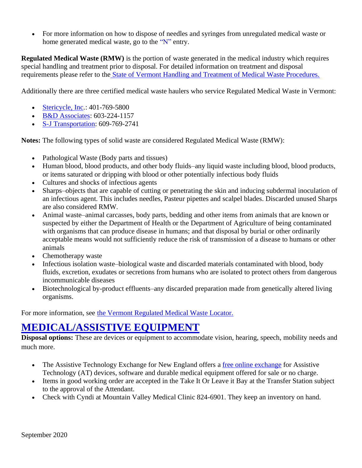• For more information on how to dispose of needles and syringes from unregulated medical waste or home generated medical waste, go to the "N" entry.

**Regulated Medical Waste (RMW)** is the portion of waste generated in the medical industry which requires special handling and treatment prior to disposal. For detailed information on treatment and disposal requirements please refer to the [State of Vermont Handling and Treatment of Medical Waste Procedures.](http://www.anr.state.vt.us/dec/wastediv/solid/pubs/MedWaste.pdf)

Additionally there are three certified medical waste haulers who service Regulated Medical Waste in Vermont:

- [Stericycle, Inc.](http://www.stericycle.com/): 401-769-5800
- [B&D Associates:](http://www.safemedicalwaste.com/) 603-224-1157
- [S-J Transportation:](http://www.sjtransportation.com/) 609-769-2741

**Notes:** The following types of solid waste are considered Regulated Medical Waste (RMW):

- Pathological Waste (Body parts and tissues)
- Human blood, blood products, and other body fluids–any liquid waste including blood, blood products, or items saturated or dripping with blood or other potentially infectious body fluids
- Cultures and shocks of infectious agents
- Sharps–objects that are capable of cutting or penetrating the skin and inducing subdermal inoculation of an infectious agent. This includes needles, Pasteur pipettes and scalpel blades. Discarded unused Sharps are also considered RMW.
- Animal waste–animal carcasses, body parts, bedding and other items from animals that are known or suspected by either the Department of Health or the Department of Agriculture of being contaminated with organisms that can produce disease in humans; and that disposal by burial or other ordinarily acceptable means would not sufficiently reduce the risk of transmission of a disease to humans or other animals
- Chemotherapy waste
- Infectious isolation waste–biological waste and discarded materials contaminated with blood, body fluids, excretion, exudates or secretions from humans who are isolated to protect others from dangerous incommunicable diseases
- Biotechnological by-product effluents–any discarded preparation made from genetically altered living organisms.

For more information, see [the Vermont Regulated Medical Waste Locator.](http://www.envcap.org/statetools/rmw/vt-rmw.html)

#### **MEDICAL/ASSISTIVE EQUIPMENT**

**Disposal options:** These are devices or equipment to accommodate vision, hearing, speech, mobility needs and much more.

- The Assistive Technology Exchange for New England offers a [free online exchange](http://www.getatstuff.com/) for Assistive Technology (AT) devices, software and durable medical equipment offered for sale or no charge.
- Items in good working order are accepted in the Take It Or Leave it Bay at the Transfer Station subject to the approval of the Attendant.
- Check with Cyndi at Mountain Valley Medical Clinic 824-6901. They keep an inventory on hand.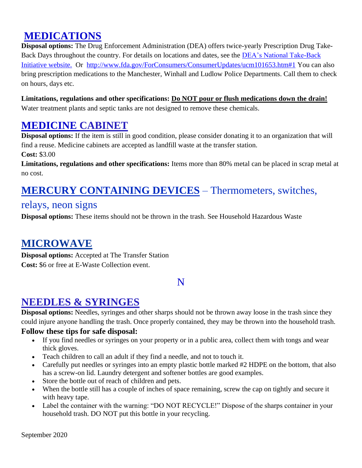## **MEDICATIONS**

**Disposal options:** The Drug Enforcement Administration (DEA) offers twice-yearly Prescription Drug Take-Back Days throughout the country. For details on locations and dates, see the **DEA**'s National Take-Back [Initiative website.](http://www.deadiversion.usdoj.gov/drug_disposal/takeback/) Or <http://www.fda.gov/ForConsumers/ConsumerUpdates/ucm101653.htm#1> You can also bring prescription medications to the Manchester, Winhall and Ludlow Police Departments. Call them to check on hours, days etc.

#### **Limitations, regulations and other specifications: Do NOT pour or flush medications down the drain!**

Water treatment plants and septic tanks are not designed to remove these chemicals.

### **MEDICINE CABINET**

**Disposal options:** If the item is still in good condition, please consider donating it to an organization that will find a reuse. Medicine cabinets are accepted as landfill waste at the transfer station.

**Cost:** \$3.00

**Limitations, regulations and other specifications:** Items more than 80% metal can be placed in scrap metal at no cost.

## **MERCURY CONTAINING DEVICES** – Thermometers, switches,

#### relays, neon signs

**Disposal options:** These items should not be thrown in the trash. See Household Hazardous Waste

## **MICROWAVE**

**Disposal options:** Accepted at The Transfer Station **Cost:** \$6 or free at E-Waste Collection event.

#### N

## <span id="page-24-0"></span>**NEEDLES & SYRINGES**

**Disposal options:** Needles, syringes and other sharps should not be thrown away loose in the trash since they could injure anyone handling the trash. Once properly contained, they may be thrown into the household trash.

#### **Follow these tips for safe disposal:**

- If you find needles or syringes on your property or in a public area, collect them with tongs and wear thick gloves.
- Teach children to call an adult if they find a needle, and not to touch it.
- Carefully put needles or syringes into an empty plastic bottle marked #2 HDPE on the bottom, that also has a screw-on lid. Laundry detergent and softener bottles are good examples.
- Store the bottle out of reach of children and pets.
- When the bottle still has a couple of inches of space remaining, screw the cap on tightly and secure it with heavy tape.
- Label the container with the warning: "DO NOT RECYCLE!" Dispose of the sharps container in your household trash. DO NOT put this bottle in your recycling.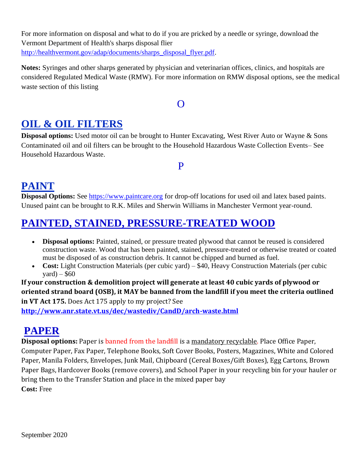For more information on disposal and what to do if you are pricked by a needle or syringe, download the Vermont Department of Health's sharps disposal flier [http://healthvermont.gov/adap/documents/sharps\\_disposal\\_flyer.pdf.](http://healthvermont.gov/adap/documents/sharps_disposal_flyer.pdf)

**Notes:** Syringes and other sharps generated by physician and veterinarian offices, clinics, and hospitals are considered Regulated Medical Waste (RMW). For more information on RMW disposal options, see the medical waste section of this listing

#### $\Omega$

## <span id="page-25-0"></span>**OIL & OIL FILTERS**

**Disposal options:** Used motor oil can be brought to Hunter Excavating, West River Auto or Wayne & Sons Contaminated oil and oil filters can be brought to the Household Hazardous Waste Collection Events– See Household Hazardous Waste.

#### P

#### <span id="page-25-1"></span>**PAINT**

**Disposal Options:** See [https://www.paintcare.org](https://www.paintcare.org/) for drop-off locations for used oil and latex based paints. Unused paint can be brought to R.K. Miles and Sherwin Williams in Manchester Vermont year-round.

## **PAINTED, STAINED, PRESSURE-TREATED WOOD**

- **Disposal options:** Painted, stained, or pressure treated plywood that cannot be reused is considered construction waste. Wood that has been painted, stained, pressure-treated or otherwise treated or coated must be disposed of as construction debris. It cannot be chipped and burned as fuel.
- **Cost:** Light Construction Materials (per cubic yard) \$40, Heavy Construction Materials (per cubic vard) –  $$60$

**If your construction & demolition project will generate at least 40 cubic yards of plywood or oriented strand board (OSB), it MAY be banned from the landfill if you meet the criteria outlined in VT Act 175.** Does Act 175 apply to my project? See

**<http://www.anr.state.vt.us/dec/wastediv/CandD/arch-waste.html>**

## **PAPER**

**Disposal options:** Paper is banned from the landfill is a mandatory recyclable. Place Office Paper, Computer Paper, Fax Paper, Telephone Books, Soft Cover Books, Posters, Magazines, White and Colored Paper, Manila Folders, Envelopes, Junk Mail, Chipboard (Cereal Boxes/Gift Boxes), Egg Cartons, Brown Paper Bags, Hardcover Books (remove covers), and School Paper in your recycling bin for your hauler or bring them to the Transfer Station and place in the mixed paper bay **Cost:** Free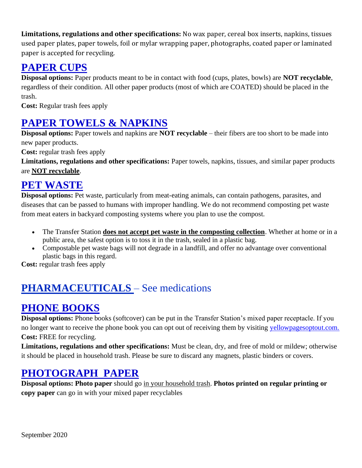**Limitations, regulations and other specifications:** No wax paper, cereal box inserts, napkins, tissues used paper plates, paper towels, foil or mylar wrapping paper, photographs, coated paper or laminated paper is accepted for recycling.

### **PAPER CUPS**

**Disposal options:** Paper products meant to be in contact with food (cups, plates, bowls) are **NOT recyclable**, regardless of their condition. All other paper products (most of which are COATED) should be placed in the trash.

**Cost:** Regular trash fees apply

# **PAPER TOWELS & NAPKINS**

**Disposal options:** Paper towels and napkins are **NOT recyclable** – their fibers are too short to be made into new paper products.

**Cost:** regular trash fees apply

**Limitations, regulations and other specifications:** Paper towels, napkins, tissues, and similar paper products are **NOT recyclable**.

### **PET WASTE**

**Disposal options:** Pet waste, particularly from meat-eating animals, can contain pathogens, parasites, and diseases that can be passed to humans with improper handling. We do not recommend composting pet waste from meat eaters in backyard composting systems where you plan to use the compost.

- The Transfer Station **does not accept pet waste in the composting collection**. Whether at home or in a public area, the safest option is to toss it in the trash, sealed in a plastic bag.
- Compostable pet waste bags will not degrade in a landfill, and offer no advantage over conventional plastic bags in this regard.

**Cost:** regular trash fees apply

# **PHARMACEUTICALS** – See medications

## **PHONE BOOKS**

**Disposal options:** Phone books (softcover) can be put in the Transfer Station's mixed paper receptacle. If you no longer want to receive the phone book you can opt out of receiving them by visiting [yellowpagesoptout.com.](https://www.yellowpagesoptout.com/) **Cost:** FREE for recycling.

**Limitations, regulations and other specifications:** Must be clean, dry, and free of mold or mildew; otherwise it should be placed in household trash. Please be sure to discard any magnets, plastic binders or covers.

## **PHOTOGRAPH PAPER**

**Disposal options: Photo paper** should go in your household trash. **Photos printed on regular printing or copy paper** can go in with your mixed paper recyclables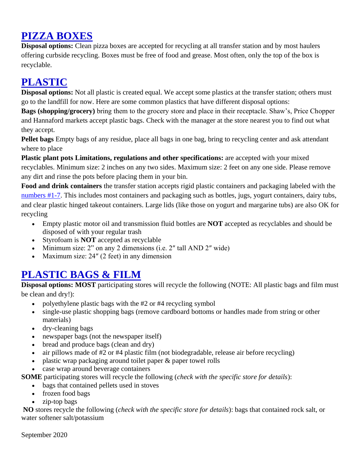## **PIZZA BOXES**

**Disposal options:** Clean pizza boxes are accepted for recycling at all transfer station and by most haulers offering curbside recycling. Boxes must be free of food and grease. Most often, only the top of the box is recyclable.

# **PLASTIC**

**Disposal options:** Not all plastic is created equal. We accept some plastics at the transfer station; others must go to the landfill for now. Here are some common plastics that have different disposal options:

**Bags (shopping/grocery)** bring them to the grocery store and place in their receptacle. Shaw's, Price Chopper and Hannaford markets accept plastic bags. Check with the manager at the store nearest you to find out what they accept.

**Pellet bags** Empty bags of any residue, place all bags in one bag, bring to recycling center and ask attendant where to place

**Plastic plant pots Limitations, regulations and other specifications:** are accepted with your mixed recyclables. Minimum size: 2 inches on any two sides. Maximum size: 2 feet on any one side. Please remove any dirt and rinse the pots before placing them in your bin.

**Food and drink containers** the transfer station accepts rigid plastic containers and packaging labeled with the [numbers #1-7.](http://cswd.net/recycling/recycling-list/plastic-resin-codes/) This includes most containers and packaging such as bottles, jugs, yogurt containers, dairy tubs, and clear plastic hinged takeout containers. Large lids (like those on yogurt and margarine tubs) are also OK for recycling

- Empty plastic motor oil and transmission fluid bottles are **NOT** accepted as recyclables and should be disposed of with your regular trash
- Styrofoam is **NOT** accepted as recyclable
- Minimum size: 2" on any 2 dimensions (i.e. 2" tall AND 2" wide)
- Maximum size: 24" (2 feet) in any dimension

## **PLASTIC BAGS & FILM**

**Disposal options: MOST** participating stores will recycle the following (NOTE: All plastic bags and film must be clean and dry!):

- polyethylene plastic bags with the #2 or #4 recycling symbol
- single-use plastic shopping bags (remove cardboard bottoms or handles made from string or other materials)
- dry-cleaning bags
- newspaper bags (not the newspaper itself)
- bread and produce bags (clean and dry)
- air pillows made of #2 or #4 plastic film (not biodegradable, release air before recycling)
- plastic wrap packaging around toilet paper & paper towel rolls
- case wrap around beverage containers

**SOME** participating stores will recycle the following (*check with the specific store for details*):

- bags that contained pellets used in stoves
- frozen food bags
- zip-top bags

**NO** stores recycle the following (*check with the specific store for details*): bags that contained rock salt, or water softener salt/potassium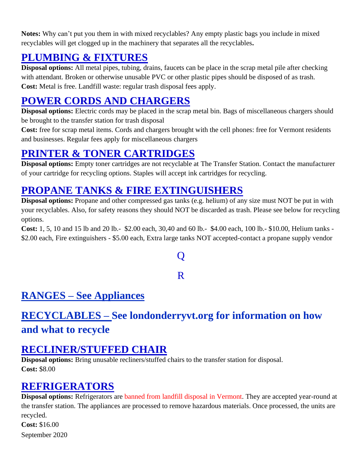**Notes:** Why can't put you them in with mixed recyclables? Any empty plastic bags you include in mixed recyclables will get clogged up in the machinery that separates all the recyclables**.**

## **PLUMBING & FIXTURES**

**Disposal options:** All metal pipes, tubing, drains, faucets can be place in the scrap metal pile after checking with attendant. Broken or otherwise unusable PVC or other plastic pipes should be disposed of as trash. **Cost:** Metal is free. Landfill waste: regular trash disposal fees apply.

# **POWER CORDS AND CHARGERS**

**Disposal options:** Electric cords may be placed in the scrap metal bin. Bags of miscellaneous chargers should be brought to the transfer station for trash disposal

**Cost:** free for scrap metal items. Cords and chargers brought with the cell phones: free for Vermont residents and businesses. Regular fees apply for miscellaneous chargers

### **PRINTER & TONER CARTRIDGES**

**Disposal options:** Empty toner cartridges are not recyclable at The Transfer Station. Contact the manufacturer of your cartridge for recycling options. Staples will accept ink cartridges for recycling.

## **PROPANE TANKS & FIRE EXTINGUISHERS**

**Disposal options:** Propane and other compressed gas tanks (e.g. helium) of any size must NOT be put in with your recyclables. Also, for safety reasons they should NOT be discarded as trash. Please see below for recycling options.

<span id="page-28-0"></span>**Cost:** 1, 5, 10 and 15 lb and 20 lb.- \$2.00 each, 30,40 and 60 lb.- \$4.00 each, 100 lb.- \$10.00, Helium tanks - \$2.00 each, Fire extinguishers - \$5.00 each, Extra large tanks NOT accepted-contact a propane supply vendor

# $\bf{O}$

#### R

## <span id="page-28-1"></span>**RANGES – See Appliances**

# **RECYCLABLES – See londonderryvt.org for information on how and what to recycle**

#### **RECLINER/STUFFED CHAIR**

**Disposal options:** Bring unusable recliners/stuffed chairs to the transfer station for disposal. **Cost:** \$8.00

## **REFRIGERATORS**

**Disposal options:** Refrigerators are banned from landfill disposal in Vermont. They are accepted year-round at the transfer station. The appliances are processed to remove hazardous materials. Once processed, the units are recycled. **Cost:** \$16.00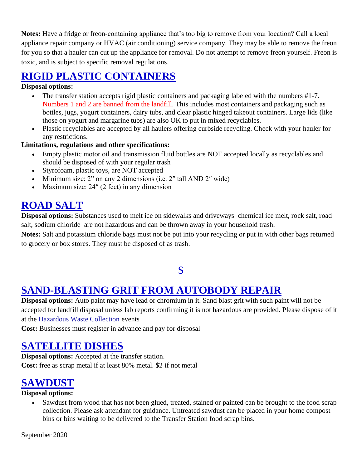**Notes:** Have a fridge or freon-containing appliance that's too big to remove from your location? Call a local appliance repair company or HVAC (air conditioning) service company. They may be able to remove the freon for you so that a hauler can cut up the appliance for removal. Do not attempt to remove freon yourself. Freon is toxic, and is subject to specific removal regulations.

## **RIGID PLASTIC CONTAINERS**

#### **Disposal options:**

- The transfer station accepts rigid plastic containers and packaging labeled with the [numbers #1-7.](http://cswd.net/recycling/recycling-list/plastic-resin-codes/) Numbers 1 and 2 are banned from the landfill. This includes most containers and packaging such as bottles, jugs, yogurt containers, dairy tubs, and clear plastic hinged takeout containers. Large lids (like those on yogurt and margarine tubs) are also OK to put in mixed recyclables.
- Plastic recyclables are accepted by all haulers offering curbside recycling. Check with your hauler for any restrictions.

#### **Limitations, regulations and other specifications:**

- Empty plastic motor oil and transmission fluid bottles are NOT accepted locally as recyclables and should be disposed of with your regular trash
- Styrofoam, plastic toys, are NOT accepted
- Minimum size: 2" on any 2 dimensions (i.e. 2" tall AND 2" wide)
- Maximum size: 24″ (2 feet) in any dimension

## **ROAD SALT**

**Disposal options:** Substances used to melt ice on sidewalks and driveways–chemical ice melt, rock salt, road salt, sodium chloride–are not hazardous and can be thrown away in your household trash.

**Notes:** Salt and potassium chloride bags must not be put into your recycling or put in with other bags returned to grocery or box stores. They must be disposed of as trash.

#### S

#### <span id="page-29-0"></span>**SAND-BLASTING GRIT FROM AUTOBODY REPAIR**

**Disposal options:** Auto paint may have lead or chromium in it. Sand blast grit with such paint will not be accepted for landfill disposal unless lab reports confirming it is not hazardous are provided. Please dispose of it at the Hazardous Waste Collection events

**Cost:** Businesses must register in advance and pay for disposal

## **SATELLITE DISHES**

**Disposal options:** Accepted at the transfer station. **Cost:** free as scrap metal if at least 80% metal. \$2 if not metal

#### **SAWDUST**

#### **Disposal options:**

• Sawdust from wood that has not been glued, treated, stained or painted can be brought to the food scrap collection. Please ask attendant for guidance. Untreated sawdust can be placed in your home compost bins or bins waiting to be delivered to the Transfer Station food scrap bins.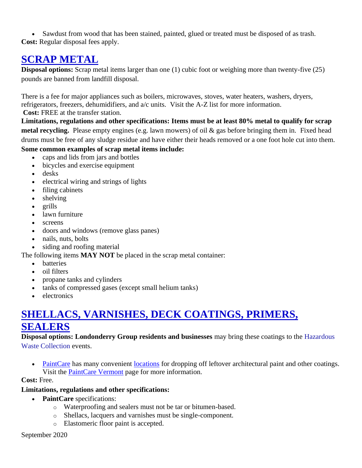• Sawdust from wood that has been stained, painted, glued or treated must be disposed of as trash. **Cost:** Regular disposal fees apply.

#### **SCRAP METAL**

**Disposal options:** Scrap metal items larger than one (1) cubic foot or weighing more than twenty-five (25) pounds are banned from landfill disposal.

There is a fee for major appliances such as boilers, microwaves, stoves, water heaters, washers, dryers, refrigerators, freezers, dehumidifiers, and a/c units. Visit the A-Z list for more information.

**Cost:** FREE at the transfer station.

**Limitations, regulations and other specifications: Items must be at least 80% metal to qualify for scrap metal recycling.** Please empty engines (e.g. lawn mowers) of oil & gas before bringing them in. Fixed head drums must be free of any sludge residue and have either their heads removed or a one foot hole cut into them.

#### **Some common examples of scrap metal items include:**

- caps and lids from jars and bottles
- bicycles and exercise equipment
- desks
- electrical wiring and strings of lights
- filing cabinets
- shelving
- grills
- lawn furniture
- screens
- doors and windows (remove glass panes)
- nails, nuts, bolts
- siding and roofing material

The following items **MAY NOT** be placed in the scrap metal container:

- batteries
- oil filters
- propane tanks and cylinders
- tanks of compressed gases (except small helium tanks)
- electronics

#### **SHELLACS, VARNISHES, DECK COATINGS, PRIMERS, SEALERS**

#### **Disposal options: Londonderry Group residents and businesses** may bring these coatings to the Hazardous Waste Collection events.

• [PaintCare](http://www.paintcare.org/index.php) has many convenient [locations](http://www.paintcare.org/locator/index.php) for dropping off leftover architectural paint and other coatings. Visit the [PaintCare Vermont](http://www.paintcare.org/vermont/index.php) page for more information.

#### **Cost:** Free.

#### **Limitations, regulations and other specifications:**

- **PaintCare** specifications:
	- o Waterproofing and sealers must not be tar or bitumen-based.
	- o Shellacs, lacquers and varnishes must be single-component.
	- o Elastomeric floor paint is accepted.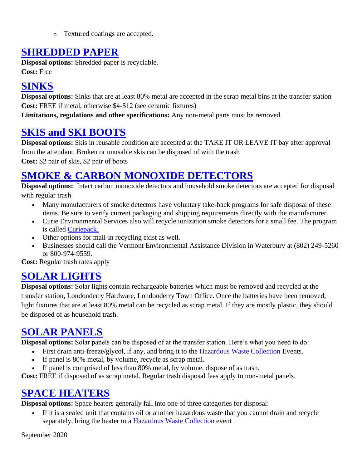o Textured coatings are accepted.

#### **SHREDDED PAPER**

**Disposal options:** Shredded paper is recyclable. **Cost:** Free

# **SINKS**

**Disposal options:** Sinks that are at least 80% metal are accepted in the scrap metal bins at the transfer station **Cost:** FREE if metal, otherwise \$4-\$12 (see ceramic fixtures)

**Limitations, regulations and other specifications:** Any non-metal parts must be removed.

## **SKIS and SKI BOOTS**

**Disposal options:** Skis in reusable condition are accepted at the TAKE IT OR LEAVE IT bay after approval from the attendant. Broken or unusable skis can be disposed of with the trash

**Cost:** \$2 pair of skis, \$2 pair of boots

## **SMOKE & CARBON MONOXIDE DETECTORS**

**Disposal options:** Intact carbon monoxide detectors and household smoke detectors are accepted for disposal with regular trash.

- Many manufacturers of smoke detectors have voluntary take-back programs for safe disposal of these items. Be sure to verify current packaging and shipping requirements directly with the manufacturer.
- Curie Environmental Services also will recycle ionization smoke detectors for a small fee. The program is called [Curiepack.](http://www.curieservices.com/smoke-alarm-recycling/curiepack/)
- Other options for mail-in recycling exist as well.
- Businesses should call the Vermont Environmental Assistance Division in Waterbury at (802) 249-5260 or 800-974-9559.

**Cost:** Regular trash rates apply

## **SOLAR LIGHTS**

**Disposal options:** Solar lights contain rechargeable batteries which must be removed and recycled at the transfer station, Londonderry Hardware, Londonderry Town Office. Once the batteries have been removed, light fixtures that are at least 80% metal can be recycled as scrap metal. If they are mostly plastic, they should be disposed of as household trash.

## **SOLAR PANELS**

**Disposal options:** Solar panels can be disposed of at the transfer station. Here's what you need to do:

- First drain anti-freeze/glycol, if any, and bring it to the Hazardous Waste Collection Events.
- If panel is 80% metal, by volume, recycle as scrap metal.
- If panel is comprised of less than 80% metal, by volume, dispose of as trash.

**Cost:** FREE if disposed of as scrap metal. Regular trash disposal fees apply to non-metal panels.

## **SPACE HEATERS**

**Disposal options:** Space heaters generally fall into one of three categories for disposal:

If it is a sealed unit that contains oil or another hazardous waste that you cannot drain and recycle separately, bring the heater to a Hazardous Waste Collection event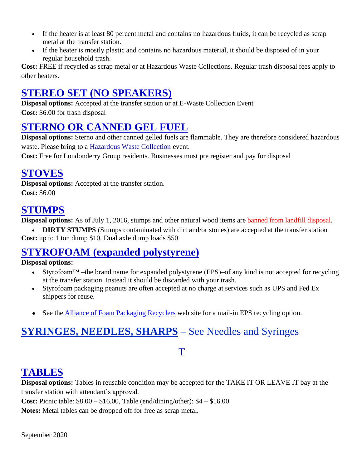- If the heater is at least 80 percent metal and contains no hazardous fluids, it can be recycled as scrap metal at the transfer station.
- If the heater is mostly plastic and contains no hazardous material, it should be disposed of in your regular household trash.

**Cost:** FREE if recycled as scrap metal or at Hazardous Waste Collections. Regular trash disposal fees apply to other heaters.

# **STEREO SET (NO SPEAKERS)**

**Disposal options:** Accepted at the transfer station or at E-Waste Collection Event **Cost:** \$6.00 for trash disposal

## **STERNO OR CANNED GEL FUEL**

**Disposal options:** Sterno and other canned gelled fuels are flammable. They are therefore considered hazardous waste. Please bring to a Hazardous Waste Collection event.

**Cost:** Free for Londonderry Group residents. Businesses must pre register and pay for disposal

#### **STOVES**

**Disposal options:** Accepted at the transfer station. **Cost:** \$6.00

#### **STUMPS**

**Disposal options:** As of July 1, 2016, stumps and other natural wood items are banned from landfill disposal.

• **DIRTY STUMPS** (Stumps contaminated with dirt and/or stones) are accepted at the transfer station **Cost:** up to 1 ton dump \$10. Dual axle dump loads \$50.

## **STYROFOAM (expanded polystyrene)**

#### **Disposal options:**

- Styrofoam<sup>TM</sup> –the brand name for expanded polystyrene (EPS)–of any kind is not accepted for recycling at the transfer station. Instead it should be discarded with your trash.
- Styrofoam packaging peanuts are often accepted at no charge at services such as UPS and Fed Ex shippers for reuse.
- See the **Alliance of Foam Packaging Recyclers** web site for a mail-in EPS recycling option.

# **SYRINGES, NEEDLES, SHARPS** – See Needles and Syringes

#### <span id="page-32-0"></span>T

## **TABLES**

**Disposal options:** Tables in reusable condition may be accepted for the TAKE IT OR LEAVE IT bay at the transfer station with attendant's approval.

**Cost:** Picnic table: \$8.00 – \$16.00, Table (end/dining/other): \$4 – \$16.00

**Notes:** Metal tables can be dropped off for free as scrap metal.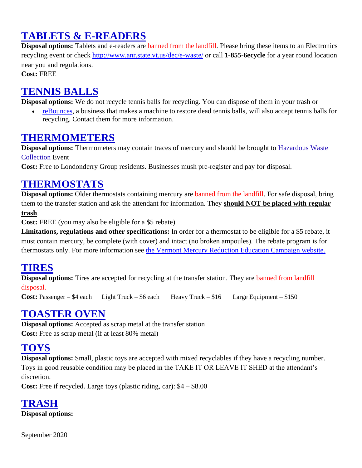# **TABLETS & E-READERS**

**Disposal options:** Tablets and e-readers are banned from the landfill. Please bring these items to an Electronics recycling event or check<http://www.anr.state.vt.us/dec/e-waste/> or call **1-855-6ecycle** for a year round location near you and regulations.

**Cost:** FREE

### **TENNIS BALLS**

**Disposal options:** We do not recycle tennis balls for recycling. You can dispose of them in your trash or

• [reBounces,](http://www.rebounces.com/about-us/recycle/) a business that makes a machine to restore dead tennis balls, will also accept tennis balls for recycling. Contact them for more information.

#### **THERMOMETERS**

**Disposal options:** Thermometers may contain traces of mercury and should be brought to Hazardous Waste Collection Event

**Cost:** Free to Londonderry Group residents. Businesses mush pre-register and pay for disposal.

### **THERMOSTATS**

**Disposal options:** Older thermostats containing mercury are banned from the landfill. For safe disposal, bring them to the transfer station and ask the attendant for information. They **should NOT be placed with regular trash**.

**Cost:** FREE (you may also be eligible for a \$5 rebate)

**Limitations, regulations and other specifications:** In order for a thermostat to be eligible for a \$5 rebate, it must contain mercury, be complete (with cover) and intact (no broken ampoules). The rebate program is for thermostats only. For more information see [the Vermont Mercury Reduction Education Campaign website.](http://www.mercvt.org/dispose/thermostats.htm)

#### **TIRES**

**Disposal options:** Tires are accepted for recycling at the transfer station. They are banned from landfill disposal.

**Cost:** Passenger – \$4 each Light Truck – \$6 each Heavy Truck – \$16 Large Equipment – \$150

#### **TOASTER OVEN**

**Disposal options:** Accepted as scrap metal at the transfer station **Cost:** Free as scrap metal (if at least 80% metal)

## **TOYS**

**Disposal options:** Small, plastic toys are accepted with mixed recyclables if they have a recycling number. Toys in good reusable condition may be placed in the TAKE IT OR LEAVE IT SHED at the attendant's discretion.

**Cost:** Free if recycled. Large toys (plastic riding, car): \$4 – \$8.00

**TRASH Disposal options:**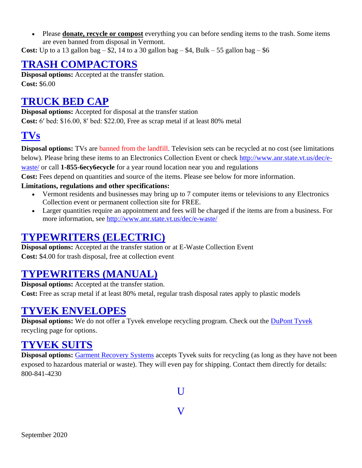• Please **donate, recycle or compost** everything you can before sending items to the trash. Some items are even banned from disposal in Vermont.

**Cost:** Up to a 13 gallon bag  $-$  \$2, 14 to a 30 gallon bag  $-$  \$4, Bulk  $-$  55 gallon bag  $-$  \$6

### **TRASH COMPACTORS**

**Disposal options:** Accepted at the transfer station. **Cost:** \$6.00

### **TRUCK BED CAP**

**Disposal options:** Accepted for disposal at the transfer station **Cost:** 6′ bed: \$16.00, 8′ bed: \$22.00, Free as scrap metal if at least 80% metal

## **[TVs](http://cswd.net/a-to-z/televisions/)**

**Disposal options:** TVs are banned from the landfill. Television sets can be recycled at no cost (see limitations below). Please bring these items to an Electronics Collection Event or check [http://www.anr.state.vt.us/dec/e](http://www.anr.state.vt.us/dec/e-waste/)[waste/](http://www.anr.state.vt.us/dec/e-waste/) or call **1-855-6ecy6ecycle** for a year round location near you and regulations

**Cost:** Fees depend on quantities and source of the items. Please see below for more information.

#### **Limitations, regulations and other specifications:**

- Vermont residents and businesses may bring up to 7 computer items or televisions to any Electronics Collection event or permanent collection site for FREE.
- Larger quantities require an appointment and fees will be charged if the items are from a business. For more information, see<http://www.anr.state.vt.us/dec/e-waste/>

#### **TYPEWRITERS (ELECTRIC)**

**Disposal options:** Accepted at the transfer station or at E-Waste Collection Event **Cost:** \$4.00 for trash disposal, free at collection event

#### **TYPEWRITERS (MANUAL)**

**Disposal options:** Accepted at the transfer station. **Cost:** Free as scrap metal if at least 80% metal, regular trash disposal rates apply to plastic models

#### **TYVEK ENVELOPES**

**Disposal options:** We do not offer a Tyvek envelope recycling program. Check out the **DuPont Tyvek** recycling page for options.

#### **TYVEK SUITS**

<span id="page-34-1"></span><span id="page-34-0"></span>**Disposal options:** [Garment Recovery Systems](http://disposable-garments.com/) accepts Tyvek suits for recycling (as long as they have not been exposed to hazardous material or waste). They will even pay for shipping. Contact them directly for details: 800-841-4230

 $\mathbf{U}$ 

V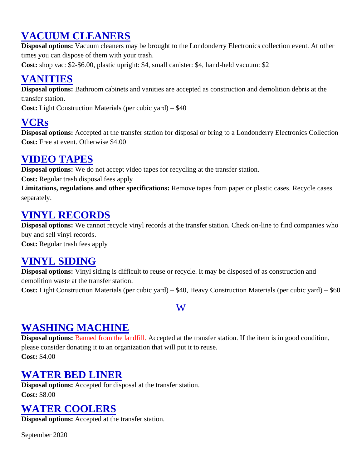## **VACUUM CLEANERS**

**Disposal options:** Vacuum cleaners may be brought to the Londonderry Electronics collection event. At other times you can dispose of them with your trash.

**Cost:** shop vac: \$2-\$6.00, plastic upright: \$4, small canister: \$4, hand-held vacuum: \$2

## **VANITIES**

**Disposal options:** Bathroom cabinets and vanities are accepted as construction and demolition debris at the transfer station.

**Cost:** Light Construction Materials (per cubic yard) – \$40

## **VCRs**

**Disposal options:** Accepted at the transfer station for disposal or bring to a Londonderry Electronics Collection **Cost:** Free at event. Otherwise \$4.00

## **VIDEO TAPES**

**Disposal options:** We do not accept video tapes for recycling at the transfer station.

**Cost:** Regular trash disposal fees apply

**Limitations, regulations and other specifications:** Remove tapes from paper or plastic cases. Recycle cases separately.

### **VINYL RECORDS**

**Disposal options:** We cannot recycle vinyl records at the transfer station. Check on-line to find companies who buy and sell vinyl records.

**Cost:** Regular trash fees apply

## **VINYL SIDING**

**Disposal options:** Vinyl siding is difficult to reuse or recycle. It may be disposed of as construction and demolition waste at the transfer station.

<span id="page-35-0"></span>**Cost:** Light Construction Materials (per cubic yard) – \$40, Heavy Construction Materials (per cubic yard) – \$60

#### W

## **WASHING MACHINE**

**Disposal options:** Banned from the landfill. Accepted at the transfer station. If the item is in good condition, please consider donating it to an organization that will put it to reuse. **Cost:** \$4.00

## **WATER BED LINER**

**Disposal options:** Accepted for disposal at the transfer station. **Cost:** \$8.00

## **WATER COOLERS**

**Disposal options:** Accepted at the transfer station.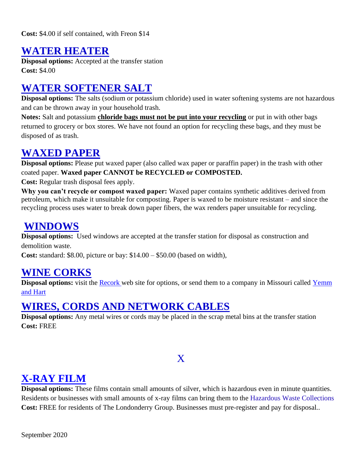**Cost:** \$4.00 if self contained, with Freon \$14

#### **WATER HEATER**

**Disposal options:** Accepted at the transfer station **Cost:** \$4.00

## **WATER SOFTENER SALT**

**Disposal options:** The salts (sodium or potassium chloride) used in water softening systems are not hazardous and can be thrown away in your household trash.

**Notes:** Salt and potassium **chloride bags must not be put into your recycling** or put in with other bags returned to grocery or box stores. We have not found an option for recycling these bags, and they must be disposed of as trash.

#### **WAXED PAPER**

**Disposal options:** Please put waxed paper (also called wax paper or paraffin paper) in the trash with other coated paper. **Waxed paper CANNOT be RECYCLED or COMPOSTED.**

**Cost:** Regular trash disposal fees apply.

**Why you can't recycle or compost waxed paper:** Waxed paper contains synthetic additives derived from petroleum, which make it unsuitable for composting. Paper is waxed to be moisture resistant – and since the recycling process uses water to break down paper fibers, the wax renders paper unsuitable for recycling.

#### **WINDOWS**

**Disposal options:** Used windows are accepted at the transfer station for disposal as construction and demolition waste.

**Cost:** standard: \$8.00, picture or bay: \$14.00 – \$50.00 (based on width),

#### **WINE CORKS**

**Disposal options:** visit the **Recork** web site for options, or send them to a company in Missouri called Yemm [and Hart](http://www.yemmhart.com/materials/winecork/wine_cork_recycling.html)

#### **WIRES, CORDS AND NETWORK CABLES**

**Disposal options:** Any metal wires or cords may be placed in the scrap metal bins at the transfer station **Cost:** FREE

#### X

## <span id="page-36-0"></span>**X-RAY FILM**

**Disposal options:** These films contain small amounts of silver, which is hazardous even in minute quantities. Residents or businesses with small amounts of x-ray films can bring them to the Hazardous Waste Collections **Cost:** FREE for residents of The Londonderry Group. Businesses must pre-register and pay for disposal..